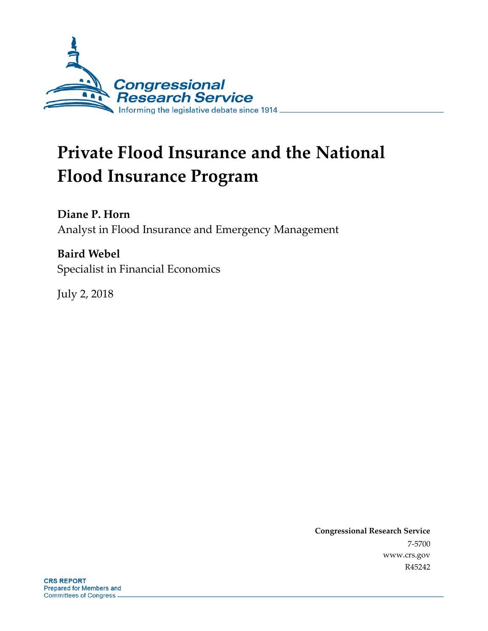

# **Private Flood Insurance and the National Flood Insurance Program**

**Diane P. Horn** Analyst in Flood Insurance and Emergency Management

**Baird Webel** Specialist in Financial Economics

July 2, 2018

**Congressional Research Service** 7-5700 www.crs.gov R45242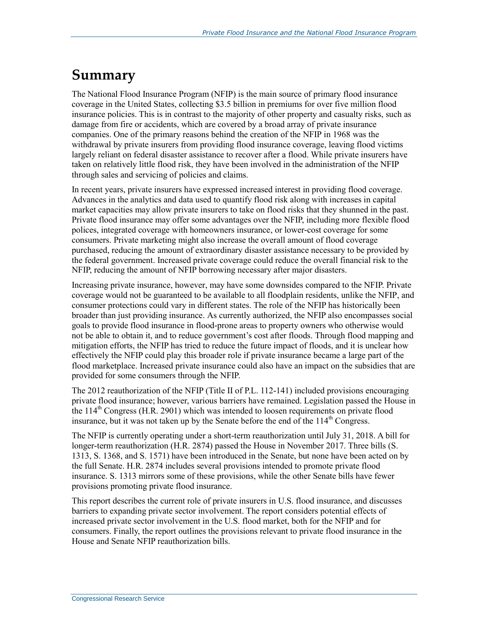### **Summary**

The National Flood Insurance Program (NFIP) is the main source of primary flood insurance coverage in the United States, collecting \$3.5 billion in premiums for over five million flood insurance policies. This is in contrast to the majority of other property and casualty risks, such as damage from fire or accidents, which are covered by a broad array of private insurance companies. One of the primary reasons behind the creation of the NFIP in 1968 was the withdrawal by private insurers from providing flood insurance coverage, leaving flood victims largely reliant on federal disaster assistance to recover after a flood. While private insurers have taken on relatively little flood risk, they have been involved in the administration of the NFIP through sales and servicing of policies and claims.

In recent years, private insurers have expressed increased interest in providing flood coverage. Advances in the analytics and data used to quantify flood risk along with increases in capital market capacities may allow private insurers to take on flood risks that they shunned in the past. Private flood insurance may offer some advantages over the NFIP, including more flexible flood polices, integrated coverage with homeowners insurance, or lower-cost coverage for some consumers. Private marketing might also increase the overall amount of flood coverage purchased, reducing the amount of extraordinary disaster assistance necessary to be provided by the federal government. Increased private coverage could reduce the overall financial risk to the NFIP, reducing the amount of NFIP borrowing necessary after major disasters.

Increasing private insurance, however, may have some downsides compared to the NFIP. Private coverage would not be guaranteed to be available to all floodplain residents, unlike the NFIP, and consumer protections could vary in different states. The role of the NFIP has historically been broader than just providing insurance. As currently authorized, the NFIP also encompasses social goals to provide flood insurance in flood-prone areas to property owners who otherwise would not be able to obtain it, and to reduce government's cost after floods. Through flood mapping and mitigation efforts, the NFIP has tried to reduce the future impact of floods, and it is unclear how effectively the NFIP could play this broader role if private insurance became a large part of the flood marketplace. Increased private insurance could also have an impact on the subsidies that are provided for some consumers through the NFIP.

The 2012 reauthorization of the NFIP (Title II of P.L. 112-141) included provisions encouraging private flood insurance; however, various barriers have remained. Legislation passed the House in the  $114<sup>th</sup>$  Congress (H.R. 2901) which was intended to loosen requirements on private flood insurance, but it was not taken up by the Senate before the end of the  $114<sup>th</sup>$  Congress.

The NFIP is currently operating under a short-term reauthorization until July 31, 2018. A bill for longer-term reauthorization (H.R. 2874) passed the House in November 2017. Three bills (S. 1313, S. 1368, and S. 1571) have been introduced in the Senate, but none have been acted on by the full Senate. H.R. 2874 includes several provisions intended to promote private flood insurance. S. 1313 mirrors some of these provisions, while the other Senate bills have fewer provisions promoting private flood insurance.

This report describes the current role of private insurers in U.S. flood insurance, and discusses barriers to expanding private sector involvement. The report considers potential effects of increased private sector involvement in the U.S. flood market, both for the NFIP and for consumers. Finally, the report outlines the provisions relevant to private flood insurance in the House and Senate NFIP reauthorization bills.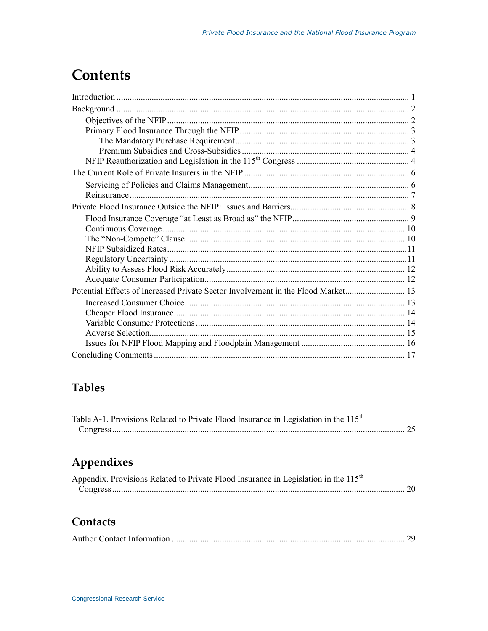### **Contents**

| Potential Effects of Increased Private Sector Involvement in the Flood Market |  |
|-------------------------------------------------------------------------------|--|
|                                                                               |  |
|                                                                               |  |
|                                                                               |  |
|                                                                               |  |
|                                                                               |  |
|                                                                               |  |

### **Tables**

| Table A-1. Provisions Related to Private Flood Insurance in Legislation in the 115 <sup>th</sup> |  |
|--------------------------------------------------------------------------------------------------|--|
|                                                                                                  |  |

### Appendixes

| Appendix. Provisions Related to Private Flood Insurance in Legislation in the 115 <sup>th</sup> |  |
|-------------------------------------------------------------------------------------------------|--|
|                                                                                                 |  |

#### **Contacts**

|--|--|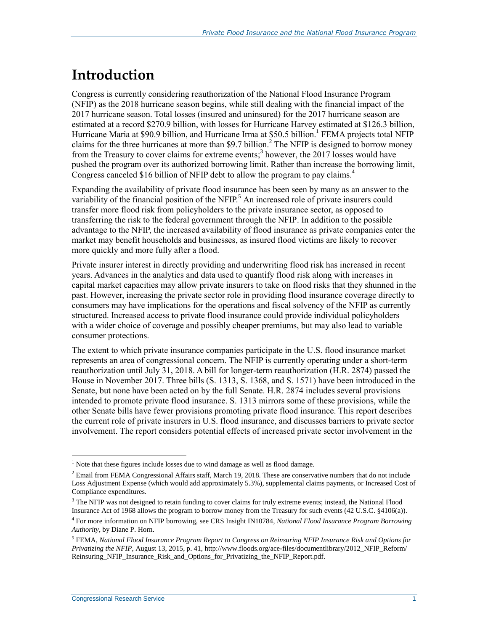## **Introduction**

Congress is currently considering reauthorization of the National Flood Insurance Program (NFIP) as the 2018 hurricane season begins, while still dealing with the financial impact of the 2017 hurricane season. Total losses (insured and uninsured) for the 2017 hurricane season are estimated at a record \$270.9 billion, with losses for Hurricane Harvey estimated at \$126.3 billion, Hurricane Maria at \$90.9 billion, and Hurricane Irma at \$50.5 billion.<sup>1</sup> FEMA projects total NFIP claims for the three hurricanes at more than \$9.7 billion.<sup>2</sup> The NFIP is designed to borrow money from the Treasury to cover claims for extreme events;<sup>3</sup> however, the 2017 losses would have pushed the program over its authorized borrowing limit. Rather than increase the borrowing limit, Congress canceled \$16 billion of NFIP debt to allow the program to pay claims.<sup>4</sup>

Expanding the availability of private flood insurance has been seen by many as an answer to the variability of the financial position of the NFIP.<sup>5</sup> An increased role of private insurers could transfer more flood risk from policyholders to the private insurance sector, as opposed to transferring the risk to the federal government through the NFIP. In addition to the possible advantage to the NFIP, the increased availability of flood insurance as private companies enter the market may benefit households and businesses, as insured flood victims are likely to recover more quickly and more fully after a flood.

Private insurer interest in directly providing and underwriting flood risk has increased in recent years. Advances in the analytics and data used to quantify flood risk along with increases in capital market capacities may allow private insurers to take on flood risks that they shunned in the past. However, increasing the private sector role in providing flood insurance coverage directly to consumers may have implications for the operations and fiscal solvency of the NFIP as currently structured. Increased access to private flood insurance could provide individual policyholders with a wider choice of coverage and possibly cheaper premiums, but may also lead to variable consumer protections.

The extent to which private insurance companies participate in the U.S. flood insurance market represents an area of congressional concern. The NFIP is currently operating under a short-term reauthorization until July 31, 2018. A bill for longer-term reauthorization (H.R. 2874) passed the House in November 2017. Three bills [\(S. 1313,](http://www.congress.gov/cgi-lis/bdquery/z?d115:S.1313:) S. 1368, and [S. 1571\)](http://www.congress.gov/cgi-lis/bdquery/z?d115:S.1571:) have been introduced in the Senate, but none have been acted on by the full Senate. H.R. 2874 includes several provisions intended to promote private flood insurance. [S. 1313](http://www.congress.gov/cgi-lis/bdquery/z?d115:S.1313:) mirrors some of these provisions, while the other Senate bills have fewer provisions promoting private flood insurance. This report describes the current role of private insurers in U.S. flood insurance, and discusses barriers to private sector involvement. The report considers potential effects of increased private sector involvement in the

<sup>&</sup>lt;sup>1</sup> Note that these figures include losses due to wind damage as well as flood damage.

<sup>&</sup>lt;sup>2</sup> Email from FEMA Congressional Affairs staff, March 19, 2018. These are conservative numbers that do not include Loss Adjustment Expense (which would add approximately 5.3%), supplemental claims payments, or Increased Cost of Compliance expenditures.

<sup>&</sup>lt;sup>3</sup> The NFIP was not designed to retain funding to cover claims for truly extreme events; instead, the National Flood Insurance Act of 1968 allows the program to borrow money from the Treasury for such events (42 U.S.C. §4106(a)).

<sup>4</sup> For more information on NFIP borrowing, see CRS Insight IN10784, *National Flood Insurance Program Borrowing Authority*, by Diane P. Horn.

<sup>5</sup> FEMA, *National Flood Insurance Program Report to Congress on Reinsuring NFIP Insurance Risk and Options for Privatizing the NFIP*, August 13, 2015, p. 41, http://www.floods.org/ace-files/documentlibrary/2012\_NFIP\_Reform/ Reinsuring\_NFIP\_Insurance\_Risk\_and\_Options\_for\_Privatizing\_the\_NFIP\_Report.pdf.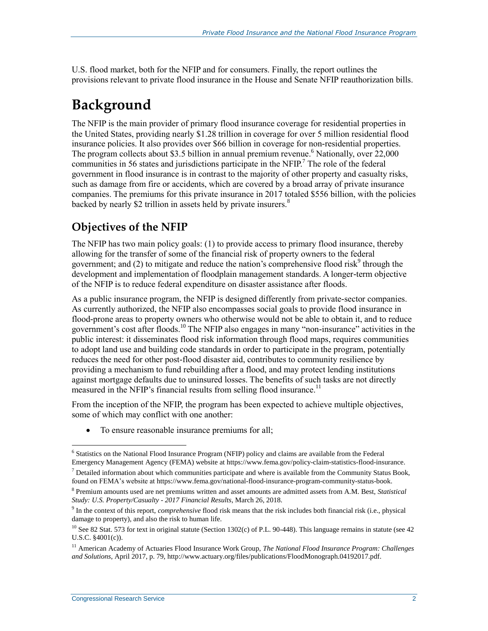U.S. flood market, both for the NFIP and for consumers. Finally, the report outlines the provisions relevant to private flood insurance in the House and Senate NFIP reauthorization bills.

### **Background**

The NFIP is the main provider of primary flood insurance coverage for residential properties in the United States, providing nearly \$1.28 trillion in coverage for over 5 million residential flood insurance policies. It also provides over \$66 billion in coverage for non-residential properties. The program collects about \$3.5 billion in annual premium revenue.<sup>6</sup> Nationally, over  $22,000$ communities in 56 states and jurisdictions participate in the NFIP.<sup>7</sup> The role of the federal government in flood insurance is in contrast to the majority of other property and casualty risks, such as damage from fire or accidents, which are covered by a broad array of private insurance companies. The premiums for this private insurance in 2017 totaled \$556 billion, with the policies backed by nearly \$2 trillion in assets held by private insurers.<sup>8</sup>

### **Objectives of the NFIP**

The NFIP has two main policy goals: (1) to provide access to primary flood insurance, thereby allowing for the transfer of some of the financial risk of property owners to the federal government; and (2) to mitigate and reduce the nation's comprehensive flood risk<sup>9</sup> through the development and implementation of floodplain management standards. A longer-term objective of the NFIP is to reduce federal expenditure on disaster assistance after floods.

As a public insurance program, the NFIP is designed differently from private-sector companies. As currently authorized, the NFIP also encompasses social goals to provide flood insurance in flood-prone areas to property owners who otherwise would not be able to obtain it, and to reduce government's cost after floods.<sup>10</sup> The NFIP also engages in many "non-insurance" activities in the public interest: it disseminates flood risk information through flood maps, requires communities to adopt land use and building code standards in order to participate in the program, potentially reduces the need for other post-flood disaster aid, contributes to community resilience by providing a mechanism to fund rebuilding after a flood, and may protect lending institutions against mortgage defaults due to uninsured losses. The benefits of such tasks are not directly measured in the NFIP's financial results from selling flood insurance.<sup>11</sup>

From the inception of the NFIP, the program has been expected to achieve multiple objectives, some of which may conflict with one another:

• To ensure reasonable insurance premiums for all;

<sup>&</sup>lt;sup>6</sup> Statistics on the National Flood Insurance Program (NFIP) policy and claims are available from the Federal Emergency Management Agency (FEMA) website at https://www.fema.gov/policy-claim-statistics-flood-insurance.

 $<sup>7</sup>$  Detailed information about which communities participate and where is available from the Community Status Book,</sup> found on FEMA's website at https://www.fema.gov/national-flood-insurance-program-community-status-book.

<sup>8</sup> Premium amounts used are net premiums written and asset amounts are admitted assets from A.M. Best, *Statistical Study: U.S. Property/Casualty - 2017 Financial Results*, March 26, 2018.

<sup>9</sup> In the context of this report, *comprehensive* flood risk means that the risk includes both financial risk (i.e., physical damage to property), and also the risk to human life.

 $10$  See 82 Stat. 573 for text in original statute (Section 1302(c) of P.L. 90-448). This language remains in statute (see 42 U.S.C. §4001(c)).

<sup>&</sup>lt;sup>11</sup> American Academy of Actuaries Flood Insurance Work Group, *The National Flood Insurance Program: Challenges and Solutions*, April 2017, p. 79, http://www.actuary.org/files/publications/FloodMonograph.04192017.pdf.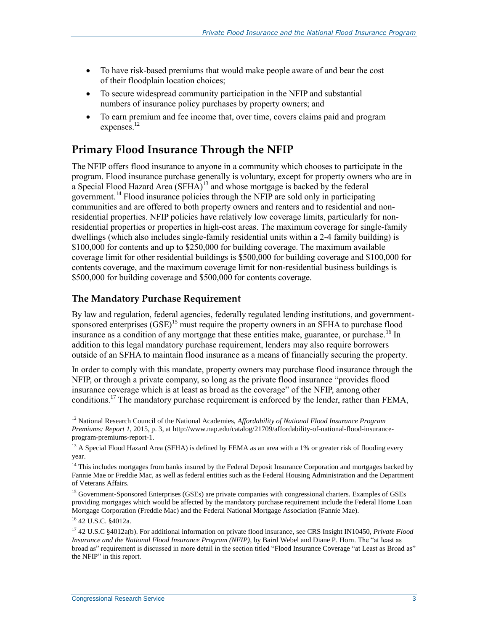- To have risk-based premiums that would make people aware of and bear the cost of their floodplain location choices;
- To secure widespread community participation in the NFIP and substantial numbers of insurance policy purchases by property owners; and
- To earn premium and fee income that, over time, covers claims paid and program expenses. $^{12}$

#### **Primary Flood Insurance Through the NFIP**

The NFIP offers flood insurance to anyone in a community which chooses to participate in the program. Flood insurance purchase generally is voluntary, except for property owners who are in a Special Flood Hazard Area  $(SFHA)^{13}$  and whose mortgage is backed by the federal government.<sup>14</sup> Flood insurance policies through the NFIP are sold only in participating communities and are offered to both property owners and renters and to residential and nonresidential properties. NFIP policies have relatively low coverage limits, particularly for nonresidential properties or properties in high-cost areas. The maximum coverage for single-family dwellings (which also includes single-family residential units within a 2-4 family building) is \$100,000 for contents and up to \$250,000 for building coverage. The maximum available coverage limit for other residential buildings is \$500,000 for building coverage and \$100,000 for contents coverage, and the maximum coverage limit for non-residential business buildings is \$500,000 for building coverage and \$500,000 for contents coverage.

#### **The Mandatory Purchase Requirement**

By law and regulation, federal agencies, federally regulated lending institutions, and governmentsponsored enterprises  $(GSE)^{15}$  must require the property owners in an SFHA to purchase flood insurance as a condition of any mortgage that these entities make, guarantee, or purchase.<sup>16</sup> In addition to this legal mandatory purchase requirement, lenders may also require borrowers outside of an SFHA to maintain flood insurance as a means of financially securing the property.

In order to comply with this mandate, property owners may purchase flood insurance through the NFIP, or through a private company, so long as the private flood insurance "provides flood insurance coverage which is at least as broad as the coverage" of the NFIP, among other conditions.<sup>17</sup> The mandatory purchase requirement is enforced by the lender, rather than FEMA,

<sup>12</sup> National Research Council of the National Academies, *Affordability of National Flood Insurance Program Premiums: Report 1*, 2015, p. 3, at http://www.nap.edu/catalog/21709/affordability-of-national-flood-insuranceprogram-premiums-report-1.

<sup>&</sup>lt;sup>13</sup> A Special Flood Hazard Area (SFHA) is defined by FEMA as an area with a 1% or greater risk of flooding every year.

 $14$  This includes mortgages from banks insured by the Federal Deposit Insurance Corporation and mortgages backed by Fannie Mae or Freddie Mac, as well as federal entities such as the Federal Housing Administration and the Department of Veterans Affairs.

<sup>&</sup>lt;sup>15</sup> Government-Sponsored Enterprises (GSEs) are private companies with congressional charters. Examples of GSEs providing mortgages which would be affected by the mandatory purchase requirement include the Federal Home Loan Mortgage Corporation (Freddie Mac) and the Federal National Mortgage Association (Fannie Mae).

<sup>16</sup> 42 U.S.C. §4012a.

<sup>17</sup> 42 U.S.C §4012a(b). For additional information on private flood insurance, see CRS Insight IN10450, *Private Flood Insurance and the National Flood Insurance Program (NFIP)*, by Baird Webel and Diane P. Horn. The "at least as broad as" requirement is discussed in more detail in the section titled ["Flood Insurance Coverage "at Least as Broad as"](#page-11-0)  [the NFIP"](#page-11-0) in this report.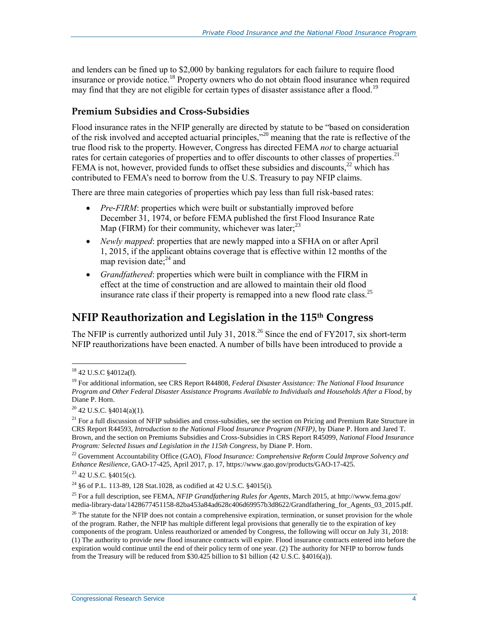and lenders can be fined up to \$2,000 by banking regulators for each failure to require flood insurance or provide notice.<sup>18</sup> Property owners who do not obtain flood insurance when required may find that they are not eligible for certain types of disaster assistance after a flood.<sup>19</sup>

#### **Premium Subsidies and Cross-Subsidies**

Flood insurance rates in the NFIP generally are directed by statute to be "based on consideration of the risk involved and accepted actuarial principles,"<sup>20</sup> meaning that the rate is reflective of the true flood risk to the property. However, Congress has directed FEMA *not* to charge actuarial rates for certain categories of properties and to offer discounts to other classes of properties.<sup>21</sup> FEMA is not, however, provided funds to offset these subsidies and discounts,  $^{22}$  which has contributed to FEMA's need to borrow from the U.S. Treasury to pay NFIP claims.

There are three main categories of properties which pay less than full risk-based rates:

- *Pre-FIRM*: properties which were built or substantially improved before December 31, 1974, or before FEMA published the first Flood Insurance Rate Map (FIRM) for their community, whichever was later; $^{23}$
- *Newly mapped*: properties that are newly mapped into a SFHA on or after April 1, 2015, if the applicant obtains coverage that is effective within 12 months of the map revision date; $^{24}$  and
- *Grandfathered*: properties which were built in compliance with the FIRM in effect at the time of construction and are allowed to maintain their old flood insurance rate class if their property is remapped into a new flood rate class.<sup>25</sup>

#### **NFIP Reauthorization and Legislation in the 115th Congress**

The NFIP is currently authorized until July 31,  $2018<sup>26</sup>$  Since the end of FY2017, six short-term NFIP reauthorizations have been enacted. A number of bills have been introduced to provide a

<sup>&</sup>lt;sup>18</sup> 42 U.S.C §4012a(f).

<sup>19</sup> For additional information, see CRS Report R44808, *Federal Disaster Assistance: The National Flood Insurance Program and Other Federal Disaster Assistance Programs Available to Individuals and Households After a Flood*, by Diane P. Horn.

<sup>20</sup> 42 U.S.C. §4014(a)(1).

 $^{21}$  For a full discussion of NFIP subsidies and cross-subsidies, see the section on Pricing and Premium Rate Structure in CRS Report R44593, *Introduction to the National Flood Insurance Program (NFIP)*, by Diane P. Horn and Jared T. Brown, and the section on Premiums Subsidies and Cross-Subsidies in CRS Report R45099, *National Flood Insurance Program: Selected Issues and Legislation in the 115th Congress*, by Diane P. Horn.

<sup>22</sup> Government Accountability Office (GAO), *Flood Insurance: Comprehensive Reform Could Improve Solvency and Enhance Resilience*, GAO-17-425, April 2017, p. 17, https://www.gao.gov/products/GAO-17-425.

 $23$  42 U.S.C. §4015(c).

<sup>24</sup> §6 of P.L. 113-89, 128 Stat.1028, as codified at 42 U.S.C. §4015(i).

<sup>25</sup> For a full description, see FEMA, *NFIP Grandfathering Rules for Agents*, March 2015, at http://www.fema.gov/ media-library-data/1428677451158-82ba453a84ad628c406d69957b3d8622/Grandfathering\_for\_Agents\_03\_2015.pdf.

 $^{26}$  The statute for the NFIP does not contain a comprehensive expiration, termination, or sunset provision for the whole of the program. Rather, the NFIP has multiple different legal provisions that generally tie to the expiration of key components of the program. Unless reauthorized or amended by Congress, the following will occur on July 31, 2018: (1) The authority to provide new flood insurance contracts will expire. Flood insurance contracts entered into before the expiration would continue until the end of their policy term of one year. (2) The authority for NFIP to borrow funds from the Treasury will be reduced from \$30.425 billion to \$1 billion (42 U.S.C. §4016(a)).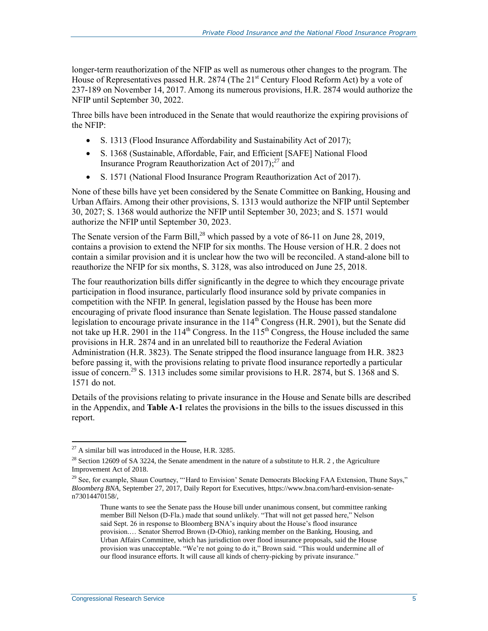longer-term reauthorization of the NFIP as well as numerous other changes to the program. The House of Representatives passed H.R. 2874 (The 21<sup>st</sup> Century Flood Reform Act) by a vote of 237-189 on November 14, 2017. Among its numerous provisions, [H.R. 2874](http://www.congress.gov/cgi-lis/bdquery/z?d115:H.R.2874:) would authorize the NFIP until September 30, 2022.

Three bills have been introduced in the Senate that would reauthorize the expiring provisions of the NFIP:

- S. 1313 (Flood Insurance Affordability and Sustainability Act of 2017);
- [S. 1368](http://www.congress.gov/cgi-lis/bdquery/z?d115:S.1368:) (Sustainable, Affordable, Fair, and Efficient [SAFE] National Flood Insurance Program Reauthorization Act of 2017);<sup>27</sup> and
- S. 1571 (National Flood Insurance Program Reauthorization Act of 2017).

None of these bills have yet been considered by the Senate Committee on Banking, Housing and Urban Affairs. Among their other provisions, [S. 1313](http://www.congress.gov/cgi-lis/bdquery/z?d115:S.1313:) would authorize the NFIP until September 30, 2027; S. 1368 would authorize the NFIP until September 30, 2023; an[d S. 1571](http://www.congress.gov/cgi-lis/bdquery/z?d115:S.1571:) would authorize the NFIP until September 30, 2023.

The Senate version of the Farm Bill,<sup>28</sup> which passed by a vote of 86-11 on June 28, 2019, contains a provision to extend the NFIP for six months. The House version of H.R. 2 does not contain a similar provision and it is unclear how the two will be reconciled. A stand-alone bill to reauthorize the NFIP for six months, [S. 3128,](http://www.congress.gov/cgi-lis/bdquery/z?d115:S.3128:) was also introduced on June 25, 2018.

The four reauthorization bills differ significantly in the degree to which they encourage private participation in flood insurance, particularly flood insurance sold by private companies in competition with the NFIP. In general, legislation passed by the House has been more encouraging of private flood insurance than Senate legislation. The House passed standalone legislation to encourage private insurance in the 114<sup>th</sup> Congress (H.R. 2901), but the Senate did not take up [H.R. 2901](http://www.congress.gov/cgi-lis/bdquery/z?d114:H.R.2901:) in the 114<sup>th</sup> Congress. In the  $115<sup>th</sup>$  Congress, the House included the same provisions in H.R. 2874 and in an unrelated bill to reauthorize the Federal Aviation Administration [\(H.R. 3823\)](http://www.congress.gov/cgi-lis/bdquery/z?d115:H.R.3823:). The Senate stripped the flood insurance language from H.R. 3823 before passing it, with the provisions relating to private flood insurance reportedly a particular issue of concern.<sup>29</sup> [S. 1313](http://www.congress.gov/cgi-lis/bdquery/z?d115:S.1313:) includes some similar provisions to H.R. 2874, bu[t S. 1368](http://www.congress.gov/cgi-lis/bdquery/z?d115:S.1368:) and S. 1571 do not.

Details of the provisions relating to private insurance in the House and Senate bills are described in the Appendix, and **[Table A](#page-27-0)-1** relates the provisions in the bills to the issues discussed in this report.

 $^{27}$  A similar bill was introduced in the House, H.R. 3285.

<sup>&</sup>lt;sup>28</sup> Section 12609 of SA 3224, the Senate amendment in the nature of a substitute to H.R. 2, the Agriculture Improvement Act of 2018.

<sup>&</sup>lt;sup>29</sup> See, for example, Shaun Courtney, "'Hard to Envision' Senate Democrats Blocking FAA Extension, Thune Says," *Bloomberg BNA*, September 27, 2017, Daily Report for Executives, https://www.bna.com/hard-envision-senaten73014470158/,

Thune wants to see the Senate pass the House bill under unanimous consent, but committee ranking member Bill Nelson (D-Fla.) made that sound unlikely. "That will not get passed here," Nelson said Sept. 26 in response to Bloomberg BNA's inquiry about the House's flood insurance provision.… Senator Sherrod Brown (D-Ohio), ranking member on the Banking, Housing, and Urban Affairs Committee, which has jurisdiction over flood insurance proposals, said the House provision was unacceptable. "We're not going to do it," Brown said. "This would undermine all of our flood insurance efforts. It will cause all kinds of cherry-picking by private insurance."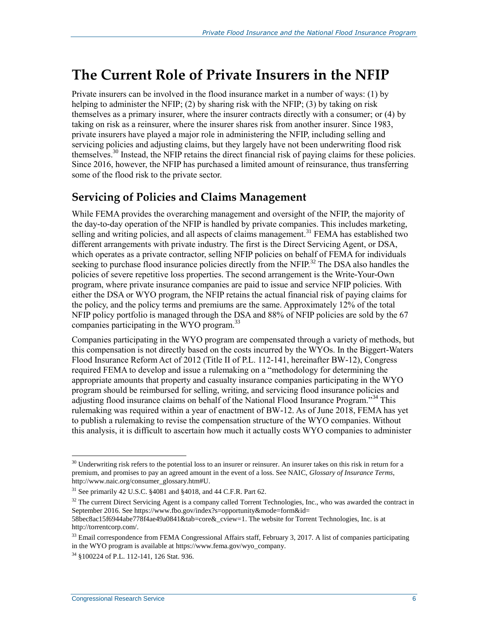### **The Current Role of Private Insurers in the NFIP**

Private insurers can be involved in the flood insurance market in a number of ways: (1) by helping to administer the NFIP; (2) by sharing risk with the NFIP; (3) by taking on risk themselves as a primary insurer, where the insurer contracts directly with a consumer; or (4) by taking on risk as a reinsurer, where the insurer shares risk from another insurer. Since 1983, private insurers have played a major role in administering the NFIP, including selling and servicing policies and adjusting claims, but they largely have not been underwriting flood risk themselves.<sup>30</sup> Instead, the NFIP retains the direct financial risk of paying claims for these policies. Since 2016, however, the NFIP has purchased a limited amount of reinsurance, thus transferring some of the flood risk to the private sector.

#### **Servicing of Policies and Claims Management**

While FEMA provides the overarching management and oversight of the NFIP, the majority of the day-to-day operation of the NFIP is handled by private companies. This includes marketing, selling and writing policies, and all aspects of claims management.<sup>31</sup> FEMA has established two different arrangements with private industry. The first is the Direct Servicing Agent, or DSA, which operates as a private contractor, selling NFIP policies on behalf of FEMA for individuals seeking to purchase flood insurance policies directly from the NFIP.<sup>32</sup> The DSA also handles the policies of severe repetitive loss properties. The second arrangement is the Write-Your-Own program, where private insurance companies are paid to issue and service NFIP policies. With either the DSA or WYO program, the NFIP retains the actual financial risk of paying claims for the policy, and the policy terms and premiums are the same. Approximately 12% of the total NFIP policy portfolio is managed through the DSA and 88% of NFIP policies are sold by the 67 companies participating in the WYO program.<sup>33</sup>

Companies participating in the WYO program are compensated through a variety of methods, but this compensation is not directly based on the costs incurred by the WYOs. In the Biggert-Waters Flood Insurance Reform Act of 2012 (Title II of [P.L. 112-141,](http://www.congress.gov/cgi-lis/bdquery/R?d112:FLD002:@1(112+141)) hereinafter BW-12), Congress required FEMA to develop and issue a rulemaking on a "methodology for determining the appropriate amounts that property and casualty insurance companies participating in the WYO program should be reimbursed for selling, writing, and servicing flood insurance policies and adjusting flood insurance claims on behalf of the National Flood Insurance Program."<sup>34</sup> This rulemaking was required within a year of enactment of BW-12. As of June 2018, FEMA has yet to publish a rulemaking to revise the compensation structure of the WYO companies. Without this analysis, it is difficult to ascertain how much it actually costs WYO companies to administer

<sup>32</sup> The current Direct Servicing Agent is a company called Torrent Technologies, Inc., who was awarded the contract in September 2016. See https://www.fbo.gov/index?s=opportunity&mode=form&id= 58bec8ac15f6944abe778f4ae49a0841&tab=core&\_cview=1. The website for Torrent Technologies, Inc. is at

http://torrentcorp.com/.

 $\overline{a}$  $30$  Underwriting risk refers to the potential loss to an insurer or reinsurer. An insurer takes on this risk in return for a premium, and promises to pay an agreed amount in the event of a loss. See NAIC, *Glossary of Insurance Terms*, http://www.naic.org/consumer\_glossary.htm#U.

<sup>31</sup> See primarily 42 U.S.C. §4081 and §4018, and 44 C.F.R. Part 62.

 $33$  Email correspondence from FEMA Congressional Affairs staff, February 3, 2017. A list of companies participating in the WYO program is available at https://www.fema.gov/wyo\_company.

<sup>34</sup> §100224 of P.L. 112-141, 126 Stat. 936.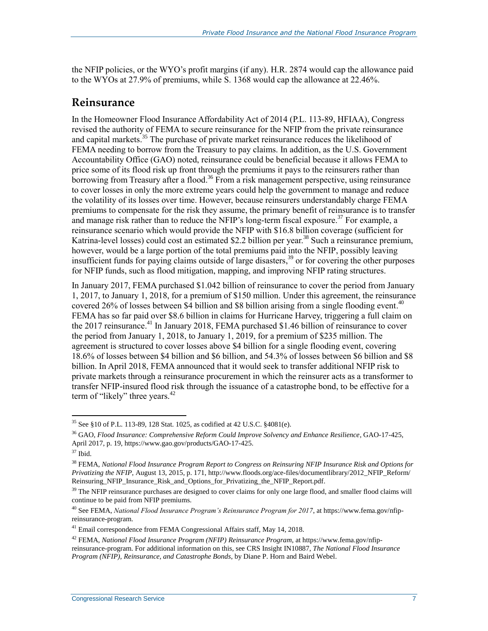the NFIP policies, or the WYO's profit margins (if any). H.R. 2874 would cap the allowance paid to the WYOs at 27.9% of premiums, while [S. 1368](http://www.congress.gov/cgi-lis/bdquery/z?d115:S.1368:) would cap the allowance at 22.46%.

#### **Reinsurance**

In the Homeowner Flood Insurance Affordability Act of 2014 (P.L. 113-89, HFIAA), Congress revised the authority of FEMA to secure reinsurance for the NFIP from the private reinsurance and capital markets.<sup>35</sup> The purchase of private market reinsurance reduces the likelihood of FEMA needing to borrow from the Treasury to pay claims. In addition, as the U.S. Government Accountability Office (GAO) noted, reinsurance could be beneficial because it allows FEMA to price some of its flood risk up front through the premiums it pays to the reinsurers rather than borrowing from Treasury after a flood.<sup>36</sup> From a risk management perspective, using reinsurance to cover losses in only the more extreme years could help the government to manage and reduce the volatility of its losses over time. However, because reinsurers understandably charge FEMA premiums to compensate for the risk they assume, the primary benefit of reinsurance is to transfer and manage risk rather than to reduce the NFIP's long-term fiscal exposure.<sup>37</sup> For example, a reinsurance scenario which would provide the NFIP with \$16.8 billion coverage (sufficient for Katrina-level losses) could cost an estimated \$2.2 billion per year.<sup>38</sup> Such a reinsurance premium, however, would be a large portion of the total premiums paid into the NFIP, possibly leaving insufficient funds for paying claims outside of large disasters, <sup>39</sup> or for covering the other purposes for NFIP funds, such as flood mitigation, mapping, and improving NFIP rating structures.

In January 2017, FEMA purchased \$1.042 billion of reinsurance to cover the period from January 1, 2017, to January 1, 2018, for a premium of \$150 million. Under this agreement, the reinsurance covered 26% of losses between \$4 billion and \$8 billion arising from a single flooding event.<sup>40</sup> FEMA has so far paid over \$8.6 billion in claims for Hurricane Harvey, triggering a full claim on the 2017 reinsurance.<sup>41</sup> In January 2018, FEMA purchased \$1.46 billion of reinsurance to cover the period from January 1, 2018, to January 1, 2019, for a premium of \$235 million. The agreement is structured to cover losses above \$4 billion for a single flooding event, covering 18.6% of losses between \$4 billion and \$6 billion, and 54.3% of losses between \$6 billion and \$8 billion. In April 2018, FEMA announced that it would seek to transfer additional NFIP risk to private markets through a reinsurance procurement in which the reinsurer acts as a transformer to transfer NFIP-insured flood risk through the issuance of a catastrophe bond, to be effective for a term of "likely" three years.<sup>42</sup>

<sup>35</sup> See §10 of P.L. 113-89, 128 Stat. 1025, as codified at 42 U.S.C. §4081(e).

<sup>36</sup> GAO, *Flood Insurance: Comprehensive Reform Could Improve Solvency and Enhance Resilience*, GAO-17-425, April 2017, p. 19, https://www.gao.gov/products/GAO-17-425.

 $^{\rm 37}$  Ibid.

<sup>38</sup> FEMA, *National Flood Insurance Program Report to Congress on Reinsuring NFIP Insurance Risk and Options for Privatizing the NFIP*, August 13, 2015, p. 171, http://www.floods.org/ace-files/documentlibrary/2012\_NFIP\_Reform/ Reinsuring\_NFIP\_Insurance\_Risk\_and\_Options\_for\_Privatizing\_the\_NFIP\_Report.pdf.

 $39$  The NFIP reinsurance purchases are designed to cover claims for only one large flood, and smaller flood claims will continue to be paid from NFIP premiums.

<sup>40</sup> See FEMA, *National Flood Insurance Program's Reinsurance Program for 2017*, at https://www.fema.gov/nfipreinsurance-program.

<sup>&</sup>lt;sup>41</sup> Email correspondence from FEMA Congressional Affairs staff, May 14, 2018.

<sup>42</sup> FEMA, *National Flood Insurance Program (NFIP) Reinsurance Program*, at https://www.fema.gov/nfipreinsurance-program. For additional information on this, see CRS Insight IN10887, *The National Flood Insurance Program (NFIP), Reinsurance, and Catastrophe Bonds*, by Diane P. Horn and Baird Webel.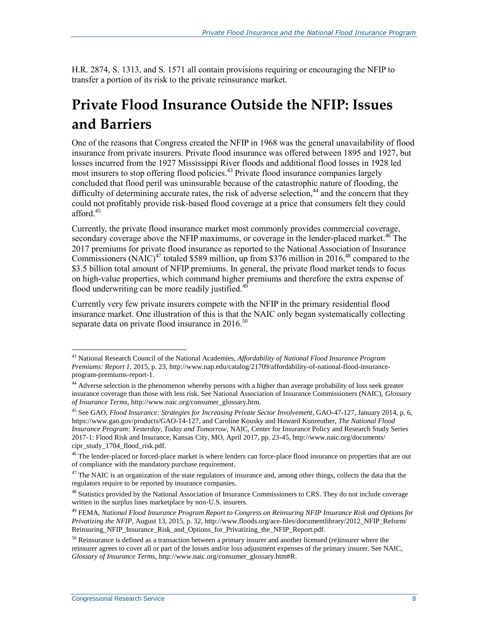[H.R. 2874,](http://www.congress.gov/cgi-lis/bdquery/z?d115:H.R.2874:) S. 1313, and [S. 1571](http://www.congress.gov/cgi-lis/bdquery/z?d115:S.1571:) all contain provisions requiring or encouraging the NFIP to transfer a portion of its risk to the private reinsurance market.

## **Private Flood Insurance Outside the NFIP: Issues and Barriers**

One of the reasons that Congress created the NFIP in 1968 was the general unavailability of flood insurance from private insurers. Private flood insurance was offered between 1895 and 1927, but losses incurred from the 1927 Mississippi River floods and additional flood losses in 1928 led most insurers to stop offering flood policies.<sup>43</sup> Private flood insurance companies largely concluded that flood peril was uninsurable because of the catastrophic nature of flooding, the difficulty of determining accurate rates, the risk of adverse selection,<sup>44</sup> and the concern that they could not profitably provide risk-based flood coverage at a price that consumers felt they could afford.<sup>45</sup>

Currently, the private flood insurance market most commonly provides commercial coverage, secondary coverage above the NFIP maximums, or coverage in the lender-placed market.<sup>46</sup> The 2017 premiums for private flood insurance as reported to the National Association of Insurance Commissioners (NAIC)<sup>47</sup> totaled \$589 million, up from \$376 million in 2016,<sup>48</sup> compared to the \$3.5 billion total amount of NFIP premiums. In general, the private flood market tends to focus on high-value properties, which command higher premiums and therefore the extra expense of flood underwriting can be more readily justified. $49$ 

Currently very few private insurers compete with the NFIP in the primary residential flood insurance market. One illustration of this is that the NAIC only began systematically collecting separate data on private flood insurance in  $2016$ <sup>50</sup>

<sup>43</sup> National Research Council of the National Academies, *Affordability of National Flood Insurance Program Premiums: Report 1*, 2015, p. 23, http://www.nap.edu/catalog/21709/affordability-of-national-flood-insuranceprogram-premiums-report-1.

<sup>&</sup>lt;sup>44</sup> Adverse selection is the phenomenon whereby persons with a higher than average probability of loss seek greater insurance coverage than those with less risk. See National Association of Insurance Commissioners (NAIC), *Glossary of Insurance Terms*, http://www.naic.org/consumer\_glossary.htm.

<sup>45</sup> See GAO, *Flood Insurance: Strategies for Increasing Private Sector Involvement*, GAO-47-127, January 2014, p. 6, https://www.gao.gov/products/GAO-14-127, and Caroline Kousky and Howard Kunreuther, *The National Flood Insurance Program: Yesterday, Today and Tomorrow*, NAIC, Center for Insurance Policy and Research Study Series 2017-1: Flood Risk and Insurance, Kansas City, MO, April 2017, pp. 23-45, http://www.naic.org/documents/ cipr\_study\_1704\_flood\_risk.pdf.

<sup>&</sup>lt;sup>46</sup> The lender-placed or forced-place market is where lenders can force-place flood insurance on properties that are out of compliance with the mandatory purchase requirement.

 $47$  The NAIC is an organization of the state regulators of insurance and, among other things, collects the data that the regulators require to be reported by insurance companies.

<sup>&</sup>lt;sup>48</sup> Statistics provided by the National Association of Insurance Commissioners to CRS. They do not include coverage written in the surplus lines marketplace by non-U.S. insurers.

<sup>49</sup> FEMA, *National Flood Insurance Program Report to Congress on Reinsuring NFIP Insurance Risk and Options for Privatizing the NFIP*, August 13, 2015, p. 32, http://www.floods.org/ace-files/documentlibrary/2012\_NFIP\_Reform/ Reinsuring\_NFIP\_Insurance\_Risk\_and\_Options\_for\_Privatizing\_the\_NFIP\_Report.pdf.

<sup>&</sup>lt;sup>50</sup> Reinsurance is defined as a transaction between a primary insurer and another licensed (re)insurer where the reinsurer agrees to cover all or part of the losses and/or loss adjustment expenses of the primary insurer. See NAIC, *Glossary of Insurance Terms*, http://www.naic.org/consumer\_glossary.htm#R.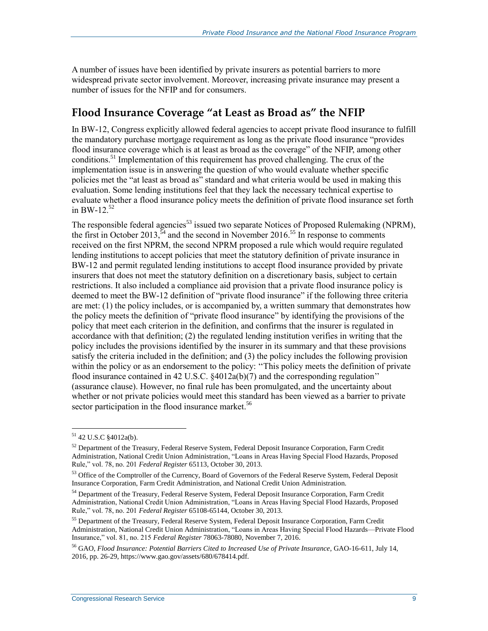A number of issues have been identified by private insurers as potential barriers to more widespread private sector involvement. Moreover, increasing private insurance may present a number of issues for the NFIP and for consumers.

#### <span id="page-11-0"></span>**Flood Insurance Coverage "at Least as Broad as" the NFIP**

In BW-12, Congress explicitly allowed federal agencies to accept private flood insurance to fulfill the mandatory purchase mortgage requirement as long as the private flood insurance "provides flood insurance coverage which is at least as broad as the coverage" of the NFIP, among other conditions.<sup>51</sup> Implementation of this requirement has proved challenging. The crux of the implementation issue is in answering the question of who would evaluate whether specific policies met the "at least as broad as" standard and what criteria would be used in making this evaluation. Some lending institutions feel that they lack the necessary technical expertise to evaluate whether a flood insurance policy meets the definition of private flood insurance set forth in BW-12. $52$ 

The responsible federal agencies<sup>53</sup> issued two separate Notices of Proposed Rulemaking (NPRM), the first in October 2013,  $\frac{5}{4}$  and the second in November 2016.<sup>55</sup> In response to comments received on the first NPRM, the second NPRM proposed a rule which would require regulated lending institutions to accept policies that meet the statutory definition of private insurance in BW-12 and permit regulated lending institutions to accept flood insurance provided by private insurers that does not meet the statutory definition on a discretionary basis, subject to certain restrictions. It also included a compliance aid provision that a private flood insurance policy is deemed to meet the BW-12 definition of "private flood insurance" if the following three criteria are met: (1) the policy includes, or is accompanied by, a written summary that demonstrates how the policy meets the definition of "private flood insurance" by identifying the provisions of the policy that meet each criterion in the definition, and confirms that the insurer is regulated in accordance with that definition; (2) the regulated lending institution verifies in writing that the policy includes the provisions identified by the insurer in its summary and that these provisions satisfy the criteria included in the definition; and (3) the policy includes the following provision within the policy or as an endorsement to the policy: ''This policy meets the definition of private flood insurance contained in 42 U.S.C. §4012a(b)(7) and the corresponding regulation'' (assurance clause). However, no final rule has been promulgated, and the uncertainty about whether or not private policies would meet this standard has been viewed as a barrier to private sector participation in the flood insurance market.<sup>56</sup>

<sup>51</sup> 42 U.S.C §4012a(b).

<sup>&</sup>lt;sup>52</sup> Department of the Treasury, Federal Reserve System, Federal Deposit Insurance Corporation, Farm Credit Administration, National Credit Union Administration, "Loans in Areas Having Special Flood Hazards, Proposed Rule," vol. 78, no. 201 *Federal Register* 65113, October 30, 2013.

<sup>53</sup> Office of the Comptroller of the Currency, Board of Governors of the Federal Reserve System, Federal Deposit Insurance Corporation, Farm Credit Administration, and National Credit Union Administration.

<sup>54</sup> Department of the Treasury, Federal Reserve System, Federal Deposit Insurance Corporation, Farm Credit Administration, National Credit Union Administration, "Loans in Areas Having Special Flood Hazards, Proposed Rule," vol. 78, no. 201 *Federal Register* 65108-65144, October 30, 2013.

<sup>&</sup>lt;sup>55</sup> Department of the Treasury, Federal Reserve System, Federal Deposit Insurance Corporation, Farm Credit Administration, National Credit Union Administration, "Loans in Areas Having Special Flood Hazards—Private Flood Insurance," vol. 81, no. 215 *Federal Register* 78063-78080, November 7, 2016.

<sup>56</sup> GAO, *Flood Insurance: Potential Barriers Cited to Increased Use of Private Insurance*, GAO-16-611, July 14, 2016, pp. 26-29, https://www.gao.gov/assets/680/678414.pdf.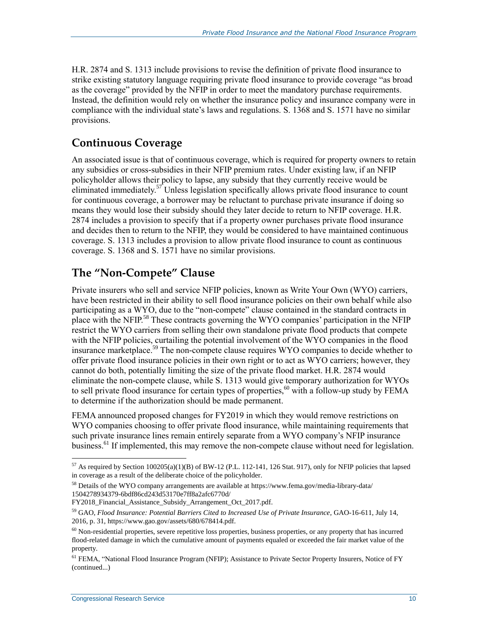H.R. 2874 and [S. 1313](http://www.congress.gov/cgi-lis/bdquery/z?d115:S.1313:) include provisions to revise the definition of private flood insurance to strike existing statutory language requiring private flood insurance to provide coverage "as broad as the coverage" provided by the NFIP in order to meet the mandatory purchase requirements. Instead, the definition would rely on whether the insurance policy and insurance company were in compliance with the individual state's laws and regulations. S. 1368 and [S. 1571](http://www.congress.gov/cgi-lis/bdquery/z?d115:S.1571:) have no similar provisions.

#### **Continuous Coverage**

An associated issue is that of continuous coverage, which is required for property owners to retain any subsidies or cross-subsidies in their NFIP premium rates. Under existing law, if an NFIP policyholder allows their policy to lapse, any subsidy that they currently receive would be eliminated immediately.<sup>57</sup> Unless legislation specifically allows private flood insurance to count for continuous coverage, a borrower may be reluctant to purchase private insurance if doing so means they would lose their subsidy should they later decide to return to NFIP coverage. H.R. 2874 includes a provision to specify that if a property owner purchases private flood insurance and decides then to return to the NFIP, they would be considered to have maintained continuous coverage. [S. 1313](http://www.congress.gov/cgi-lis/bdquery/z?d115:S.1313:) includes a provision to allow private flood insurance to count as continuous coverage. S. 1368 and [S. 1571](http://www.congress.gov/cgi-lis/bdquery/z?d115:S.1571:) have no similar provisions.

#### **The "Non-Compete" Clause**

Private insurers who sell and service NFIP policies, known as Write Your Own (WYO) carriers, have been restricted in their ability to sell flood insurance policies on their own behalf while also participating as a WYO, due to the "non-compete" clause contained in the standard contracts in place with the NFIP.<sup>58</sup> These contracts governing the WYO companies' participation in the NFIP restrict the WYO carriers from selling their own standalone private flood products that compete with the NFIP policies, curtailing the potential involvement of the WYO companies in the flood insurance marketplace. <sup>59</sup> The non-compete clause requires WYO companies to decide whether to offer private flood insurance policies in their own right or to act as WYO carriers; however, they cannot do both, potentially limiting the size of the private flood market. H.R. 2874 would eliminate the non-compete clause, while [S. 1313](http://www.congress.gov/cgi-lis/bdquery/z?d115:S.1313:) would give temporary authorization for WYOs to sell private flood insurance for certain types of properties,<sup>60</sup> with a follow-up study by FEMA to determine if the authorization should be made permanent.

FEMA announced proposed changes for FY2019 in which they would remove restrictions on WYO companies choosing to offer private flood insurance, while maintaining requirements that such private insurance lines remain entirely separate from a WYO company's NFIP insurance business.<sup>61</sup> If implemented, this may remove the non-compete clause without need for legislation.

<sup>&</sup>lt;sup>57</sup> As required by Section 100205(a)(1)(B) of BW-12 (P.L. 112-141, 126 Stat. 917), only for NFIP policies that lapsed in coverage as a result of the deliberate choice of the policyholder.

<sup>58</sup> Details of the WYO company arrangements are available at https://www.fema.gov/media-library-data/ 1504278934379-6bdf86cd243d53170e7ff8a2afc6770d/

FY2018\_Financial\_Assistance\_Subsidy\_Arrangement\_Oct\_2017.pdf.

<sup>59</sup> GAO, *Flood Insurance: Potential Barriers Cited to Increased Use of Private Insurance*, GAO-16-611, July 14, 2016, p. 31, https://www.gao.gov/assets/680/678414.pdf.

 $60$  Non-residential properties, severe repetitive loss properties, business properties, or any property that has incurred flood-related damage in which the cumulative amount of payments equaled or exceeded the fair market value of the property.

<sup>&</sup>lt;sup>61</sup> FEMA, "National Flood Insurance Program (NFIP); Assistance to Private Sector Property Insurers, Notice of FY (continued...)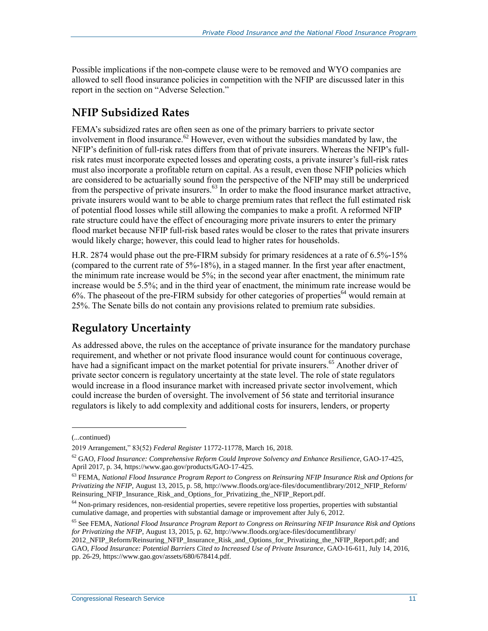Possible implications if the non-compete clause were to be removed and WYO companies are allowed to sell flood insurance policies in competition with the NFIP are discussed later in this report in the section on ["Adverse Selection.](#page-17-0)"

#### **NFIP Subsidized Rates**

FEMA's subsidized rates are often seen as one of the primary barriers to private sector involvement in flood insurance.<sup>62</sup> However, even without the subsidies mandated by law, the NFIP's definition of full-risk rates differs from that of private insurers. Whereas the NFIP's fullrisk rates must incorporate expected losses and operating costs, a private insurer's full-risk rates must also incorporate a profitable return on capital. As a result, even those NFIP policies which are considered to be actuarially sound from the perspective of the NFIP may still be underpriced from the perspective of private insurers.<sup>63</sup> In order to make the flood insurance market attractive, private insurers would want to be able to charge premium rates that reflect the full estimated risk of potential flood losses while still allowing the companies to make a profit. A reformed NFIP rate structure could have the effect of encouraging more private insurers to enter the primary flood market because NFIP full-risk based rates would be closer to the rates that private insurers would likely charge; however, this could lead to higher rates for households.

H.R. 2874 would phase out the pre-FIRM subsidy for primary residences at a rate of 6.5%-15% (compared to the current rate of 5%-18%), in a staged manner. In the first year after enactment, the minimum rate increase would be 5%; in the second year after enactment, the minimum rate increase would be 5.5%; and in the third year of enactment, the minimum rate increase would be  $6\%$ . The phaseout of the pre-FIRM subsidy for other categories of properties<sup>64</sup> would remain at 25%. The Senate bills do not contain any provisions related to premium rate subsidies.

#### **Regulatory Uncertainty**

As addressed above, the rules on the acceptance of private insurance for the mandatory purchase requirement, and whether or not private flood insurance would count for continuous coverage, have had a significant impact on the market potential for private insurers.<sup>65</sup> Another driver of private sector concern is regulatory uncertainty at the state level. The role of state regulators would increase in a flood insurance market with increased private sector involvement, which could increase the burden of oversight. The involvement of 56 state and territorial insurance regulators is likely to add complexity and additional costs for insurers, lenders, or property

<sup>(...</sup>continued)

<sup>2019</sup> Arrangement," 83(52) *Federal Register* 11772-11778, March 16, 2018.

<sup>62</sup> GAO, *Flood Insurance: Comprehensive Reform Could Improve Solvency and Enhance Resilience*, GAO-17-425, April 2017, p. 34, https://www.gao.gov/products/GAO-17-425.

<sup>63</sup> FEMA, *National Flood Insurance Program Report to Congress on Reinsuring NFIP Insurance Risk and Options for Privatizing the NFIP*, August 13, 2015, p. 58, http://www.floods.org/ace-files/documentlibrary/2012\_NFIP\_Reform/ Reinsuring\_NFIP\_Insurance\_Risk\_and\_Options\_for\_Privatizing\_the\_NFIP\_Report.pdf.

<sup>&</sup>lt;sup>64</sup> Non-primary residences, non-residential properties, severe repetitive loss properties, properties with substantial cumulative damage, and properties with substantial damage or improvement after July 6, 2012.

<sup>65</sup> See FEMA, *National Flood Insurance Program Report to Congress on Reinsuring NFIP Insurance Risk and Options for Privatizing the NFIP*, August 13, 2015, p. 62, http://www.floods.org/ace-files/documentlibrary/

<sup>2012</sup>\_NFIP\_Reform/Reinsuring\_NFIP\_Insurance\_Risk\_and\_Options\_for\_Privatizing\_the\_NFIP\_Report.pdf; and GAO, *Flood Insurance: Potential Barriers Cited to Increased Use of Private Insurance*, GAO-16-611, July 14, 2016, pp. 26-29, https://www.gao.gov/assets/680/678414.pdf.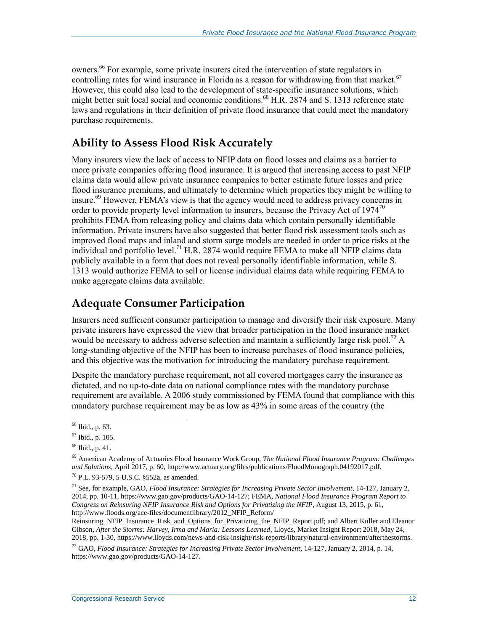owners.<sup>66</sup> For example, some private insurers cited the intervention of state regulators in controlling rates for wind insurance in Florida as a reason for withdrawing from that market.<sup>67</sup> However, this could also lead to the development of state-specific insurance solutions, which might better suit local social and economic conditions.<sup>68</sup> [H.R. 2874](http://www.congress.gov/cgi-lis/bdquery/z?d115:H.R.2874:) and S. 1313 reference state laws and regulations in their definition of private flood insurance that could meet the mandatory purchase requirements.

#### **Ability to Assess Flood Risk Accurately**

Many insurers view the lack of access to NFIP data on flood losses and claims as a barrier to more private companies offering flood insurance. It is argued that increasing access to past NFIP claims data would allow private insurance companies to better estimate future losses and price flood insurance premiums, and ultimately to determine which properties they might be willing to insure.<sup>69</sup> However, FEMA's view is that the agency would need to address privacy concerns in order to provide property level information to insurers, because the Privacy Act of  $1974^{70}$ prohibits FEMA from releasing policy and claims data which contain personally identifiable information. Private insurers have also suggested that better flood risk assessment tools such as improved flood maps and inland and storm surge models are needed in order to price risks at the individual and portfolio level.<sup>71</sup> [H.R. 2874](http://www.congress.gov/cgi-lis/bdquery/z?d115:H.R.2874:) would require FEMA to make all NFIP claims data publicly available in a form that does not reveal personally identifiable information, while S. 1313 would authorize FEMA to sell or license individual claims data while requiring FEMA to make aggregate claims data available.

#### **Adequate Consumer Participation**

Insurers need sufficient consumer participation to manage and diversify their risk exposure. Many private insurers have expressed the view that broader participation in the flood insurance market would be necessary to address adverse selection and maintain a sufficiently large risk pool.<sup>72</sup> A long-standing objective of the NFIP has been to increase purchases of flood insurance policies, and this objective was the motivation for introducing the mandatory purchase requirement.

Despite the mandatory purchase requirement, not all covered mortgages carry the insurance as dictated, and no up-to-date data on national compliance rates with the mandatory purchase requirement are available. A 2006 study commissioned by FEMA found that compliance with this mandatory purchase requirement may be as low as 43% in some areas of the country (the

 $\overline{a}$ <sup>66</sup> Ibid., p. 63.

<sup>67</sup> Ibid., p. 105.

 $68$  Ibid., p. 41.

<sup>69</sup> American Academy of Actuaries Flood Insurance Work Group, *The National Flood Insurance Program: Challenges and Solutions*, April 2017, p. 60, http://www.actuary.org/files/publications/FloodMonograph.04192017.pdf.

<sup>70</sup> P.L. 93-579, 5 U.S.C. §552a, as amended.

<sup>71</sup> See, for example, GAO, *Flood Insurance: Strategies for Increasing Private Sector Involvement*, 14-127, January 2, 2014, pp. 10-11, https://www.gao.gov/products/GAO-14-127; FEMA, *National Flood Insurance Program Report to Congress on Reinsuring NFIP Insurance Risk and Options for Privatizing the NFIP*, August 13, 2015, p. 61, http://www.floods.org/ace-files/documentlibrary/2012\_NFIP\_Reform/

Reinsuring\_NFIP\_Insurance\_Risk\_and\_Options\_for\_Privatizing\_the\_NFIP\_Report.pdf; and Albert Kuller and Eleanor Gibson, *After the Storms: Harvey, Irma and Maria: Lessons Learned*, Lloyds, Market Insight Report 2018, May 24, 2018, pp. 1-30, https://www.lloyds.com/news-and-risk-insight/risk-reports/library/natural-environment/afterthestorms.

<sup>72</sup> GAO, *Flood Insurance: Strategies for Increasing Private Sector Involvement*, 14-127, January 2, 2014, p. 14, https://www.gao.gov/products/GAO-14-127.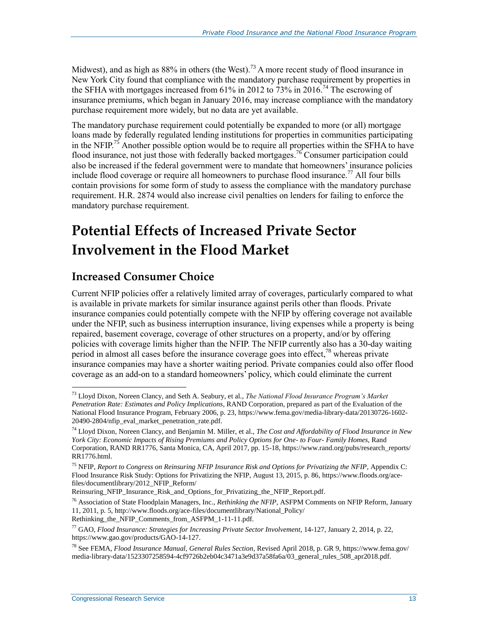Midwest), and as high as  $88\%$  in others (the West).<sup>73</sup> A more recent study of flood insurance in New York City found that compliance with the mandatory purchase requirement by properties in the SFHA with mortgages increased from 61% in 2012 to 73% in 2016.<sup>74</sup> The escrowing of insurance premiums, which began in January 2016, may increase compliance with the mandatory purchase requirement more widely, but no data are yet available.

The mandatory purchase requirement could potentially be expanded to more (or all) mortgage loans made by federally regulated lending institutions for properties in communities participating in the NFIP.<sup>75</sup> Another possible option would be to require all properties within the SFHA to have flood insurance, not just those with federally backed mortgages.<sup>76</sup> Consumer participation could also be increased if the federal government were to mandate that homeowners' insurance policies include flood coverage or require all homeowners to purchase flood insurance.<sup>77</sup> All four bills contain provisions for some form of study to assess the compliance with the mandatory purchase requirement. [H.R. 2874](http://www.congress.gov/cgi-lis/bdquery/z?d115:H.R.2874:) would also increase civil penalties on lenders for failing to enforce the mandatory purchase requirement.

### **Potential Effects of Increased Private Sector Involvement in the Flood Market**

#### **Increased Consumer Choice**

Current NFIP policies offer a relatively limited array of coverages, particularly compared to what is available in private markets for similar insurance against perils other than floods. Private insurance companies could potentially compete with the NFIP by offering coverage not available under the NFIP, such as business interruption insurance, living expenses while a property is being repaired, basement coverage, coverage of other structures on a property, and/or by offering policies with coverage limits higher than the NFIP. The NFIP currently also has a 30-day waiting period in almost all cases before the insurance coverage goes into effect,  $78$  whereas private insurance companies may have a shorter waiting period. Private companies could also offer flood coverage as an add-on to a standard homeowners' policy, which could eliminate the current

<sup>73</sup> Lloyd Dixon, Noreen Clancy, and Seth A. Seabury, et al., *The National Flood Insurance Program's Market Penetration Rate: Estimates and Policy Implications*, RAND Corporation, prepared as part of the Evaluation of the National Flood Insurance Program, February 2006, p. 23, https://www.fema.gov/media-library-data/20130726-1602- 20490-2804/nfip\_eval\_market\_penetration\_rate.pdf.

<sup>74</sup> Lloyd Dixon, Noreen Clancy, and Benjamin M. Miller, et al., *The Cost and Affordability of Flood Insurance in New York City: Economic Impacts of Rising Premiums and Policy Options for One- to Four- Family Homes*, Rand Corporation, RAND RR1776, Santa Monica, CA, April 2017, pp. 15-18, https://www.rand.org/pubs/research\_reports/ RR1776.html.

<sup>75</sup> NFIP, *Report to Congress on Reinsuring NFIP Insurance Risk and Options for Privatizing the NFIP*, Appendix C: Flood Insurance Risk Study: Options for Privatizing the NFIP, August 13, 2015, p. 86, https://www.floods.org/acefiles/documentlibrary/2012\_NFIP\_Reform/

Reinsuring\_NFIP\_Insurance\_Risk\_and\_Options\_for\_Privatizing\_the\_NFIP\_Report.pdf.

<sup>76</sup> Association of State Floodplain Managers, Inc., *Rethinking the NFIP*, ASFPM Comments on NFIP Reform, January 11, 2011, p. 5, http://www.floods.org/ace-files/documentlibrary/National\_Policy/ Rethinking the NFIP Comments from ASFPM 1-11-11.pdf.

<sup>77</sup> GAO, *Flood Insurance: Strategies for Increasing Private Sector Involvement*, 14-127, January 2, 2014, p. 22, https://www.gao.gov/products/GAO-14-127.

<sup>78</sup> See FEMA, *Flood Insurance Manual, General Rules Section*, Revised April 2018, p. GR 9, https://www.fema.gov/ media-library-data/1523307258594-4cf9726b2eb04c3471a3e9d37a58fa6a/03\_general\_rules\_508\_apr2018.pdf.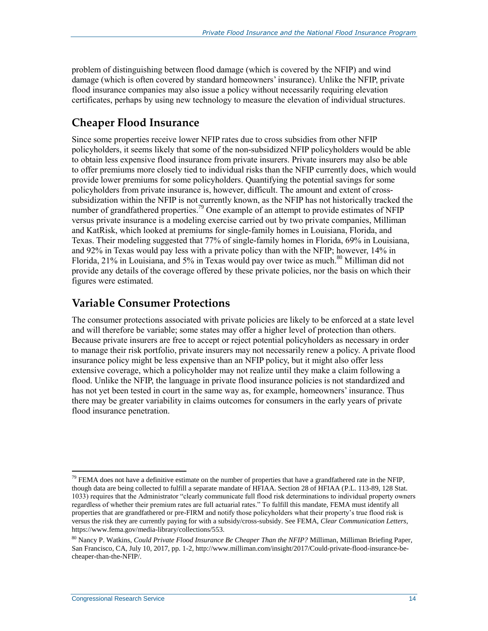problem of distinguishing between flood damage (which is covered by the NFIP) and wind damage (which is often covered by standard homeowners' insurance). Unlike the NFIP, private flood insurance companies may also issue a policy without necessarily requiring elevation certificates, perhaps by using new technology to measure the elevation of individual structures.

#### **Cheaper Flood Insurance**

Since some properties receive lower NFIP rates due to cross subsidies from other NFIP policyholders, it seems likely that some of the non-subsidized NFIP policyholders would be able to obtain less expensive flood insurance from private insurers. Private insurers may also be able to offer premiums more closely tied to individual risks than the NFIP currently does, which would provide lower premiums for some policyholders. Quantifying the potential savings for some policyholders from private insurance is, however, difficult. The amount and extent of crosssubsidization within the NFIP is not currently known, as the NFIP has not historically tracked the number of grandfathered properties.<sup>79</sup> One example of an attempt to provide estimates of NFIP versus private insurance is a modeling exercise carried out by two private companies, Milliman and KatRisk, which looked at premiums for single-family homes in Louisiana, Florida, and Texas. Their modeling suggested that 77% of single-family homes in Florida, 69% in Louisiana, and 92% in Texas would pay less with a private policy than with the NFIP; however, 14% in Florida,  $21\%$  in Louisiana, and 5% in Texas would pay over twice as much.<sup>80</sup> Milliman did not provide any details of the coverage offered by these private policies, nor the basis on which their figures were estimated.

#### **Variable Consumer Protections**

The consumer protections associated with private policies are likely to be enforced at a state level and will therefore be variable; some states may offer a higher level of protection than others. Because private insurers are free to accept or reject potential policyholders as necessary in order to manage their risk portfolio, private insurers may not necessarily renew a policy. A private flood insurance policy might be less expensive than an NFIP policy, but it might also offer less extensive coverage, which a policyholder may not realize until they make a claim following a flood. Unlike the NFIP, the language in private flood insurance policies is not standardized and has not yet been tested in court in the same way as, for example, homeowners' insurance. Thus there may be greater variability in claims outcomes for consumers in the early years of private flood insurance penetration.

 $\overline{a}$  $79$  FEMA does not have a definitive estimate on the number of properties that have a grandfathered rate in the NFIP, though data are being collected to fulfill a separate mandate of HFIAA. Section 28 of HFIAA (P.L. 113-89, 128 Stat. 1033) requires that the Administrator "clearly communicate full flood risk determinations to individual property owners regardless of whether their premium rates are full actuarial rates." To fulfill this mandate, FEMA must identify all properties that are grandfathered or pre-FIRM and notify those policyholders what their property's true flood risk is versus the risk they are currently paying for with a subsidy/cross-subsidy. See FEMA, *Clear Communication Letters*, https://www.fema.gov/media-library/collections/553.

<sup>80</sup> Nancy P. Watkins, *Could Private Flood Insurance Be Cheaper Than the NFIP?* Milliman, Milliman Briefing Paper, San Francisco, CA, July 10, 2017, pp. 1-2, http://www.milliman.com/insight/2017/Could-private-flood-insurance-becheaper-than-the-NFIP/.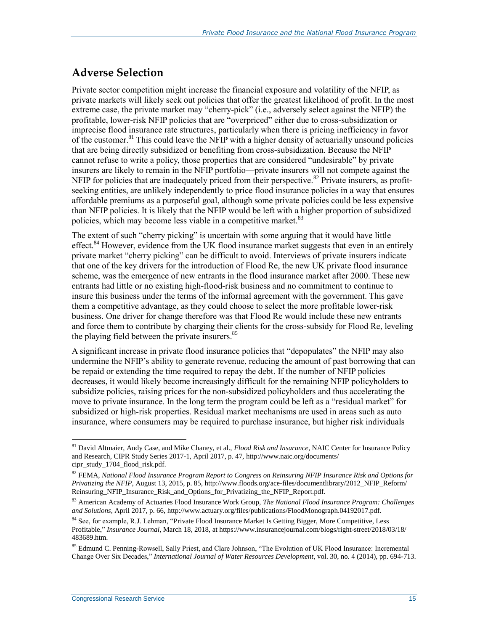#### <span id="page-17-0"></span>**Adverse Selection**

Private sector competition might increase the financial exposure and volatility of the NFIP, as private markets will likely seek out policies that offer the greatest likelihood of profit. In the most extreme case, the private market may "cherry-pick" (i.e., adversely select against the NFIP) the profitable, lower-risk NFIP policies that are "overpriced" either due to cross-subsidization or imprecise flood insurance rate structures, particularly when there is pricing inefficiency in favor of the customer.<sup>81</sup> This could leave the NFIP with a higher density of actuarially unsound policies that are being directly subsidized or benefiting from cross-subsidization. Because the NFIP cannot refuse to write a policy, those properties that are considered "undesirable" by private insurers are likely to remain in the NFIP portfolio—private insurers will not compete against the NFIP for policies that are inadequately priced from their perspective.<sup>82</sup> Private insurers, as profitseeking entities, are unlikely independently to price flood insurance policies in a way that ensures affordable premiums as a purposeful goal, although some private policies could be less expensive than NFIP policies. It is likely that the NFIP would be left with a higher proportion of subsidized policies, which may become less viable in a competitive market. $83$ 

The extent of such "cherry picking" is uncertain with some arguing that it would have little effect.<sup>84</sup> However, evidence from the UK flood insurance market suggests that even in an entirely private market "cherry picking" can be difficult to avoid. Interviews of private insurers indicate that one of the key drivers for the introduction of Flood Re, the new UK private flood insurance scheme, was the emergence of new entrants in the flood insurance market after 2000. These new entrants had little or no existing high-flood-risk business and no commitment to continue to insure this business under the terms of the informal agreement with the government. This gave them a competitive advantage, as they could choose to select the more profitable lower-risk business. One driver for change therefore was that Flood Re would include these new entrants and force them to contribute by charging their clients for the cross-subsidy for Flood Re, leveling the playing field between the private insurers.<sup>85</sup>

A significant increase in private flood insurance policies that "depopulates" the NFIP may also undermine the NFIP's ability to generate revenue, reducing the amount of past borrowing that can be repaid or extending the time required to repay the debt. If the number of NFIP policies decreases, it would likely become increasingly difficult for the remaining NFIP policyholders to subsidize policies, raising prices for the non-subsidized policyholders and thus accelerating the move to private insurance. In the long term the program could be left as a "residual market" for subsidized or high-risk properties. Residual market mechanisms are used in areas such as auto insurance, where consumers may be required to purchase insurance, but higher risk individuals

<sup>81</sup> David Altmaier, Andy Case, and Mike Chaney, et al., *Flood Risk and Insurance*, NAIC Center for Insurance Policy and Research, CIPR Study Series 2017-1, April 2017, p. 47, http://www.naic.org/documents/ cipr\_study\_1704\_flood\_risk.pdf.

<sup>82</sup> FEMA, *National Flood Insurance Program Report to Congress on Reinsuring NFIP Insurance Risk and Options for Privatizing the NFIP*, August 13, 2015, p. 85, http://www.floods.org/ace-files/documentlibrary/2012\_NFIP\_Reform/ Reinsuring\_NFIP\_Insurance\_Risk\_and\_Options\_for\_Privatizing\_the\_NFIP\_Report.pdf.

<sup>83</sup> American Academy of Actuaries Flood Insurance Work Group, *The National Flood Insurance Program: Challenges and Solutions*, April 2017, p. 66, http://www.actuary.org/files/publications/FloodMonograph.04192017.pdf.

<sup>&</sup>lt;sup>84</sup> See, for example, R.J. Lehman, "Private Flood Insurance Market Is Getting Bigger, More Competitive, Less Profitable," *Insurance Journal*, March 18, 2018, at https://www.insurancejournal.com/blogs/right-street/2018/03/18/ 483689.htm.

<sup>&</sup>lt;sup>85</sup> Edmund C. Penning-Rowsell, Sally Priest, and Clare Johnson, "The Evolution of UK Flood Insurance: Incremental Change Over Six Decades," *International Journal of Water Resources Development*, vol. 30, no. 4 (2014), pp. 694-713.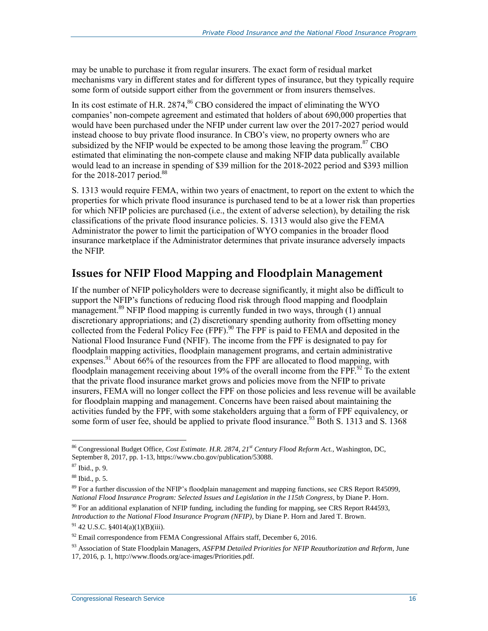may be unable to purchase it from regular insurers. The exact form of residual market mechanisms vary in different states and for different types of insurance, but they typically require some form of outside support either from the government or from insurers themselves.

In its cost estimate of H.R. 2874,  $^{86}$  CBO considered the impact of eliminating the WYO companies' non-compete agreement and estimated that holders of about 690,000 properties that would have been purchased under the NFIP under current law over the 2017-2027 period would instead choose to buy private flood insurance. In CBO's view, no property owners who are subsidized by the NFIP would be expected to be among those leaving the program. $87$  CBO estimated that eliminating the non-compete clause and making NFIP data publically available would lead to an increase in spending of \$39 million for the 2018-2022 period and \$393 million for the  $2018-2017$  period.<sup>88</sup>

[S. 1313](http://www.congress.gov/cgi-lis/bdquery/z?d115:S.1313:) would require FEMA, within two years of enactment, to report on the extent to which the properties for which private flood insurance is purchased tend to be at a lower risk than properties for which NFIP policies are purchased (i.e., the extent of adverse selection), by detailing the risk classifications of the private flood insurance policies. S. 1313 would also give the FEMA Administrator the power to limit the participation of WYO companies in the broader flood insurance marketplace if the Administrator determines that private insurance adversely impacts the NFIP.

#### **Issues for NFIP Flood Mapping and Floodplain Management**

If the number of NFIP policyholders were to decrease significantly, it might also be difficult to support the NFIP's functions of reducing flood risk through flood mapping and floodplain management.<sup>89</sup> NFIP flood mapping is currently funded in two ways, through (1) annual discretionary appropriations; and (2) discretionary spending authority from offsetting money collected from the Federal Policy Fee (FPF). <sup>90</sup> The FPF is paid to FEMA and deposited in the National Flood Insurance Fund (NFIF). The income from the FPF is designated to pay for floodplain mapping activities, floodplain management programs, and certain administrative expenses.<sup>91</sup> About 66% of the resources from the FPF are allocated to flood mapping, with floodplain management receiving about 19% of the overall income from the FPF. $^{92}$  To the extent that the private flood insurance market grows and policies move from the NFIP to private insurers, FEMA will no longer collect the FPF on those policies and less revenue will be available for floodplain mapping and management. Concerns have been raised about maintaining the activities funded by the FPF, with some stakeholders arguing that a form of FPF equivalency, or some form of user fee, should be applied to private flood insurance.<sup>93</sup> Bot[h S. 1313](http://www.congress.gov/cgi-lis/bdquery/z?d115:S.1313:) and S. 1368

<sup>86</sup> Congressional Budget Office, *Cost Estimate. H.R. 2874, 21st Century Flood Reform Act.*, Washington, DC, September 8, 2017, pp. 1-13, https://www.cbo.gov/publication/53088.

<sup>87</sup> Ibid., p. 9.

<sup>88</sup> Ibid., p. 5.

<sup>&</sup>lt;sup>89</sup> For a further discussion of the NFIP's floodplain management and mapping functions, see CRS Report R45099, *National Flood Insurance Program: Selected Issues and Legislation in the 115th Congress*, by Diane P. Horn.  $90$  For an additional explanation of NFIP funding, including the funding for mapping, see CRS Report R44593,

*Introduction to the National Flood Insurance Program (NFIP)*, by Diane P. Horn and Jared T. Brown.  $91$  42 U.S.C. §4014(a)(1)(B)(iii).

 $92$  Email correspondence from FEMA Congressional Affairs staff, December 6, 2016.

<sup>93</sup> Association of State Floodplain Managers, *ASFPM Detailed Priorities for NFIP Reauthorization and Reform*, June 17, 2016, p. 1, http://www.floods.org/ace-images/Priorities.pdf.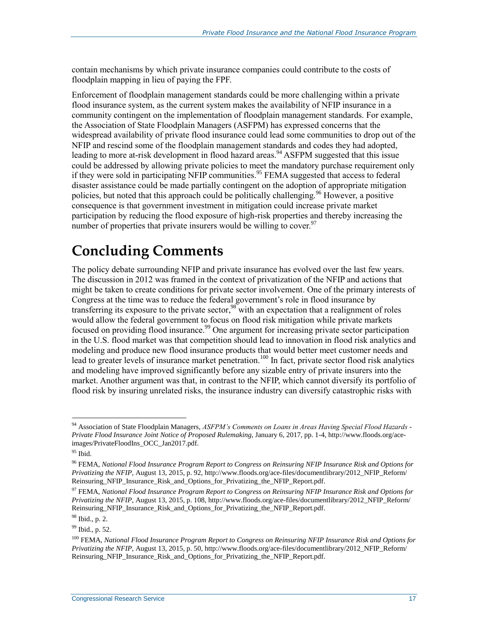contain mechanisms by which private insurance companies could contribute to the costs of floodplain mapping in lieu of paying the FPF.

Enforcement of floodplain management standards could be more challenging within a private flood insurance system, as the current system makes the availability of NFIP insurance in a community contingent on the implementation of floodplain management standards. For example, the Association of State Floodplain Managers (ASFPM) has expressed concerns that the widespread availability of private flood insurance could lead some communities to drop out of the NFIP and rescind some of the floodplain management standards and codes they had adopted, leading to more at-risk development in flood hazard areas.<sup>94</sup> ASFPM suggested that this issue could be addressed by allowing private policies to meet the mandatory purchase requirement only if they were sold in participating NFIP communities.<sup>95</sup> FEMA suggested that access to federal disaster assistance could be made partially contingent on the adoption of appropriate mitigation policies, but noted that this approach could be politically challenging.<sup>96</sup> However, a positive consequence is that government investment in mitigation could increase private market participation by reducing the flood exposure of high-risk properties and thereby increasing the number of properties that private insurers would be willing to cover.  $97$ 

### **Concluding Comments**

The policy debate surrounding NFIP and private insurance has evolved over the last few years. The discussion in 2012 was framed in the context of privatization of the NFIP and actions that might be taken to create conditions for private sector involvement. One of the primary interests of Congress at the time was to reduce the federal government's role in flood insurance by transferring its exposure to the private sector,<sup>98</sup> with an expectation that a realignment of roles would allow the federal government to focus on flood risk mitigation while private markets focused on providing flood insurance.<sup>99</sup> One argument for increasing private sector participation in the U.S. flood market was that competition should lead to innovation in flood risk analytics and modeling and produce new flood insurance products that would better meet customer needs and lead to greater levels of insurance market penetration.<sup>100</sup> In fact, private sector flood risk analytics and modeling have improved significantly before any sizable entry of private insurers into the market. Another argument was that, in contrast to the NFIP, which cannot diversify its portfolio of flood risk by insuring unrelated risks, the insurance industry can diversify catastrophic risks with

<sup>94</sup> Association of State Floodplain Managers, *ASFPM's Comments on Loans in Areas Having Special Flood Hazards - Private Flood Insurance Joint Notice of Proposed Rulemaking*, January 6, 2017, pp. 1-4, http://www.floods.org/aceimages/PrivateFloodIns\_OCC\_Jan2017.pdf.

 $^{\mathrm{95}}$  Ibid.

<sup>96</sup> FEMA, *National Flood Insurance Program Report to Congress on Reinsuring NFIP Insurance Risk and Options for Privatizing the NFIP*, August 13, 2015, p. 92, http://www.floods.org/ace-files/documentlibrary/2012\_NFIP\_Reform/ Reinsuring\_NFIP\_Insurance\_Risk\_and\_Options\_for\_Privatizing\_the\_NFIP\_Report.pdf.

<sup>97</sup> FEMA, *National Flood Insurance Program Report to Congress on Reinsuring NFIP Insurance Risk and Options for Privatizing the NFIP*, August 13, 2015, p. 108, http://www.floods.org/ace-files/documentlibrary/2012\_NFIP\_Reform/ Reinsuring\_NFIP\_Insurance\_Risk\_and\_Options\_for\_Privatizing\_the\_NFIP\_Report.pdf.

<sup>98</sup> Ibid., p. 2.

<sup>99</sup> Ibid., p. 52.

<sup>100</sup> FEMA, *National Flood Insurance Program Report to Congress on Reinsuring NFIP Insurance Risk and Options for Privatizing the NFIP*, August 13, 2015, p. 50, http://www.floods.org/ace-files/documentlibrary/2012\_NFIP\_Reform/ Reinsuring\_NFIP\_Insurance\_Risk\_and\_Options\_for\_Privatizing\_the\_NFIP\_Report.pdf.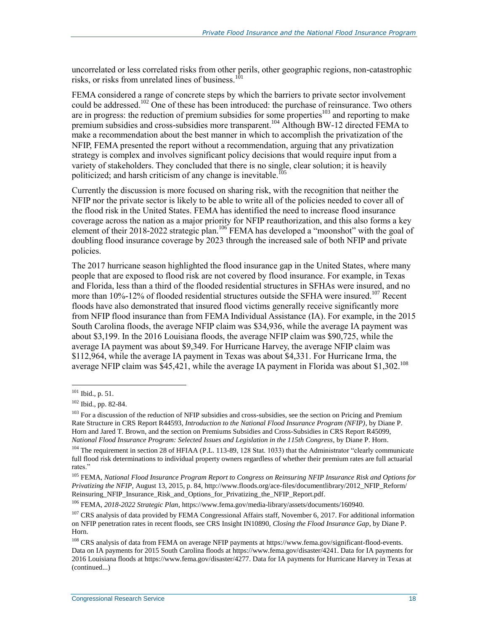uncorrelated or less correlated risks from other perils, other geographic regions, non-catastrophic risks, or risks from unrelated lines of business.<sup>101</sup>

FEMA considered a range of concrete steps by which the barriers to private sector involvement could be addressed.<sup>102</sup> One of these has been introduced: the purchase of reinsurance. Two others are in progress: the reduction of premium subsidies for some properties<sup>103</sup> and reporting to make premium subsidies and cross-subsidies more transparent.<sup>104</sup> Although BW-12 directed FEMA to make a recommendation about the best manner in which to accomplish the privatization of the NFIP, FEMA presented the report without a recommendation, arguing that any privatization strategy is complex and involves significant policy decisions that would require input from a variety of stakeholders. They concluded that there is no single, clear solution; it is heavily politicized; and harsh criticism of any change is inevitable.<sup>105</sup>

Currently the discussion is more focused on sharing risk, with the recognition that neither the NFIP nor the private sector is likely to be able to write all of the policies needed to cover all of the flood risk in the United States. FEMA has identified the need to increase flood insurance coverage across the nation as a major priority for NFIP reauthorization, and this also forms a key element of their 2018-2022 strategic plan.<sup>106</sup> FEMA has developed a "moonshot" with the goal of doubling flood insurance coverage by 2023 through the increased sale of both NFIP and private policies.

The 2017 hurricane season highlighted the flood insurance gap in the United States, where many people that are exposed to flood risk are not covered by flood insurance. For example, in Texas and Florida, less than a third of the flooded residential structures in SFHAs were insured, and no more than 10%-12% of flooded residential structures outside the SFHA were insured.<sup>107</sup> Recent floods have also demonstrated that insured flood victims generally receive significantly more from NFIP flood insurance than from FEMA Individual Assistance (IA). For example, in the 2015 South Carolina floods, the average NFIP claim was \$34,936, while the average IA payment was about \$3,199. In the 2016 Louisiana floods, the average NFIP claim was \$90,725, while the average IA payment was about \$9,349. For Hurricane Harvey, the average NFIP claim was \$112,964, while the average IA payment in Texas was about \$4,331. For Hurricane Irma, the average NFIP claim was \$45,421, while the average IA payment in Florida was about \$1,302.<sup>108</sup>

 $101$  Ibid., p. 51.

<sup>102</sup> Ibid., pp. 82-84.

<sup>&</sup>lt;sup>103</sup> For a discussion of the reduction of NFIP subsidies and cross-subsidies, see the section on Pricing and Premium Rate Structure in CRS Report R44593, *Introduction to the National Flood Insurance Program (NFIP)*, by Diane P. Horn and Jared T. Brown, and the section on Premiums Subsidies and Cross-Subsidies in CRS Report R45099, *National Flood Insurance Program: Selected Issues and Legislation in the 115th Congress*, by Diane P. Horn.

<sup>&</sup>lt;sup>104</sup> The requirement in section 28 of HFIAA (P.L. 113-89, 128 Stat. 1033) that the Administrator "clearly communicate full flood risk determinations to individual property owners regardless of whether their premium rates are full actuarial rates."

<sup>105</sup> FEMA, *National Flood Insurance Program Report to Congress on Reinsuring NFIP Insurance Risk and Options for Privatizing the NFIP*, August 13, 2015, p. 84, http://www.floods.org/ace-files/documentlibrary/2012\_NFIP\_Reform/ Reinsuring\_NFIP\_Insurance\_Risk\_and\_Options\_for\_Privatizing\_the\_NFIP\_Report.pdf.

<sup>106</sup> FEMA, *2018-2022 Strategic Plan*, https://www.fema.gov/media-library/assets/documents/160940.

<sup>&</sup>lt;sup>107</sup> CRS analysis of data provided by FEMA Congressional Affairs staff, November 6, 2017. For additional information on NFIP penetration rates in recent floods, see CRS Insight IN10890, *Closing the Flood Insurance Gap*, by Diane P. Horn.

<sup>108</sup> CRS analysis of data from FEMA on average NFIP payments at https://www.fema.gov/significant-flood-events. Data on IA payments for 2015 South Carolina floods at https://www.fema.gov/disaster/4241. Data for IA payments for 2016 Louisiana floods at https://www.fema.gov/disaster/4277. Data for IA payments for Hurricane Harvey in Texas at (continued...)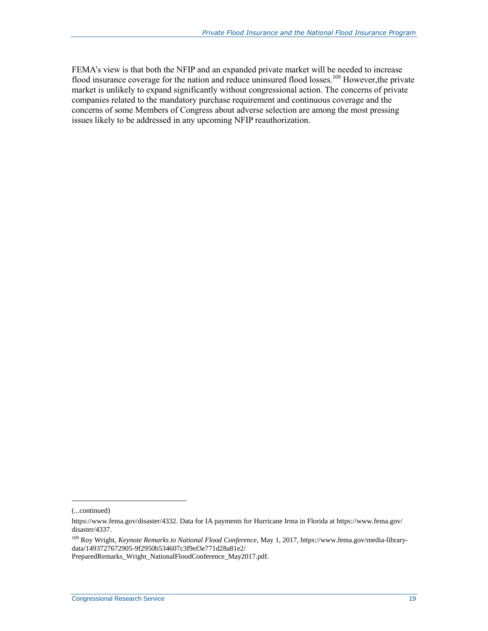FEMA's view is that both the NFIP and an expanded private market will be needed to increase flood insurance coverage for the nation and reduce uninsured flood losses.<sup>109</sup> However, the private market is unlikely to expand significantly without congressional action. The concerns of private companies related to the mandatory purchase requirement and continuous coverage and the concerns of some Members of Congress about adverse selection are among the most pressing issues likely to be addressed in any upcoming NFIP reauthorization.

l

<sup>(...</sup>continued)

https://www.fema.gov/disaster/4332. Data for IA payments for Hurricane Irma in Florida at https://www.fema.gov/ disaster/4337.

<sup>109</sup> Roy Wright, *Keynote Remarks to National Flood Conference*, May 1, 2017, https://www.fema.gov/media-librarydata/1493727672905-9f2950b534607c3f9ef3e771d28a81e2/ PreparedRemarks\_Wright\_NationalFloodConference\_May2017.pdf.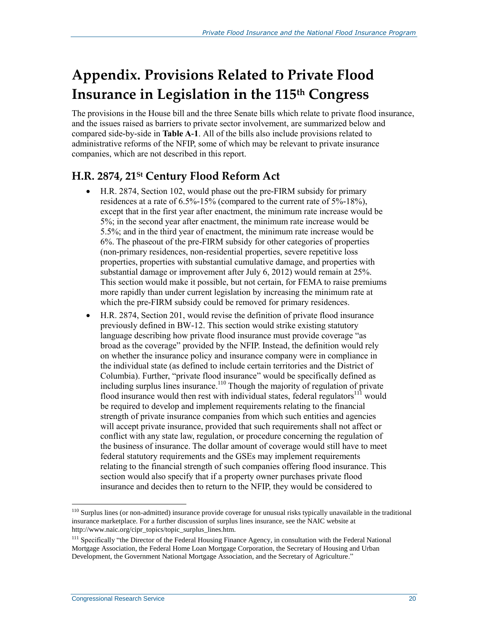## **Appendix. Provisions Related to Private Flood Insurance in Legislation in the 115th Congress**

The provisions in the House bill and the three Senate bills which relate to private flood insurance, and the issues raised as barriers to private sector involvement, are summarized below and compared side-by-side in **[Table A](#page-27-0)-1**. All of the bills also include provisions related to administrative reforms of the NFIP, some of which may be relevant to private insurance companies, which are not described in this report.

#### **[H.R. 2874,](http://www.congress.gov/cgi-lis/bdquery/z?d115:H.R.2874:) 21St Century Flood Reform Act**

- H.R. 2874, Section 102, would phase out the pre-FIRM subsidy for primary residences at a rate of 6.5%-15% (compared to the current rate of 5%-18%), except that in the first year after enactment, the minimum rate increase would be 5%; in the second year after enactment, the minimum rate increase would be 5.5%; and in the third year of enactment, the minimum rate increase would be 6%. The phaseout of the pre-FIRM subsidy for other categories of properties (non-primary residences, non-residential properties, severe repetitive loss properties, properties with substantial cumulative damage, and properties with substantial damage or improvement after July 6, 2012) would remain at 25%. This section would make it possible, but not certain, for FEMA to raise premiums more rapidly than under current legislation by increasing the minimum rate at which the pre-FIRM subsidy could be removed for primary residences.
- [H.R. 2874,](http://www.congress.gov/cgi-lis/bdquery/z?d115:H.R.2874:) Section 201, would revise the definition of private flood insurance previously defined in BW-12. This section would strike existing statutory language describing how private flood insurance must provide coverage "as broad as the coverage" provided by the NFIP. Instead, the definition would rely on whether the insurance policy and insurance company were in compliance in the individual state (as defined to include certain territories and the District of Columbia). Further, "private flood insurance" would be specifically defined as including surplus lines insurance.<sup>110</sup> Though the majority of regulation of private flood insurance would then rest with individual states, federal regulators<sup>111</sup> would be required to develop and implement requirements relating to the financial strength of private insurance companies from which such entities and agencies will accept private insurance, provided that such requirements shall not affect or conflict with any state law, regulation, or procedure concerning the regulation of the business of insurance. The dollar amount of coverage would still have to meet federal statutory requirements and the GSEs may implement requirements relating to the financial strength of such companies offering flood insurance. This section would also specify that if a property owner purchases private flood insurance and decides then to return to the NFIP, they would be considered to

<sup>&</sup>lt;sup>110</sup> Surplus lines (or non-admitted) insurance provide coverage for unusual risks typically unavailable in the traditional insurance marketplace. For a further discussion of surplus lines insurance, see the NAIC website at http://www.naic.org/cipr\_topics/topic\_surplus\_lines.htm.

<sup>&</sup>lt;sup>111</sup> Specifically "the Director of the Federal Housing Finance Agency, in consultation with the Federal National Mortgage Association, the Federal Home Loan Mortgage Corporation, the Secretary of Housing and Urban Development, the Government National Mortgage Association, and the Secretary of Agriculture."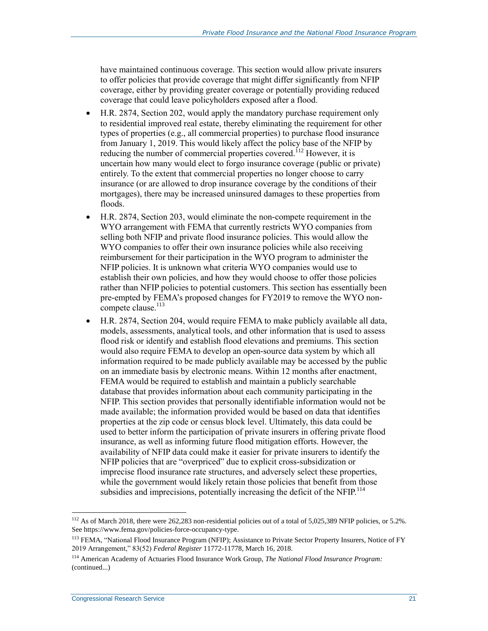have maintained continuous coverage. This section would allow private insurers to offer policies that provide coverage that might differ significantly from NFIP coverage, either by providing greater coverage or potentially providing reduced coverage that could leave policyholders exposed after a flood.

- H.R. 2874, Section 202, would apply the mandatory purchase requirement only to residential improved real estate, thereby eliminating the requirement for other types of properties (e.g., all commercial properties) to purchase flood insurance from January 1, 2019. This would likely affect the policy base of the NFIP by reducing the number of commercial properties covered.<sup>112</sup> However, it is uncertain how many would elect to forgo insurance coverage (public or private) entirely. To the extent that commercial properties no longer choose to carry insurance (or are allowed to drop insurance coverage by the conditions of their mortgages), there may be increased uninsured damages to these properties from floods.
- [H.R. 2874,](http://www.congress.gov/cgi-lis/bdquery/z?d115:H.R.2874:) Section 203, would eliminate the non-compete requirement in the WYO arrangement with FEMA that currently restricts WYO companies from selling both NFIP and private flood insurance policies. This would allow the WYO companies to offer their own insurance policies while also receiving reimbursement for their participation in the WYO program to administer the NFIP policies. It is unknown what criteria WYO companies would use to establish their own policies, and how they would choose to offer those policies rather than NFIP policies to potential customers. This section has essentially been pre-empted by FEMA's proposed changes for FY2019 to remove the WYO noncompete clause.<sup>113</sup>
- H.R. 2874, Section 204, would require FEMA to make publicly available all data, models, assessments, analytical tools, and other information that is used to assess flood risk or identify and establish flood elevations and premiums. This section would also require FEMA to develop an open-source data system by which all information required to be made publicly available may be accessed by the public on an immediate basis by electronic means. Within 12 months after enactment, FEMA would be required to establish and maintain a publicly searchable database that provides information about each community participating in the NFIP. This section provides that personally identifiable information would not be made available; the information provided would be based on data that identifies properties at the zip code or census block level. Ultimately, this data could be used to better inform the participation of private insurers in offering private flood insurance, as well as informing future flood mitigation efforts. However, the availability of NFIP data could make it easier for private insurers to identify the NFIP policies that are "overpriced" due to explicit cross-subsidization or imprecise flood insurance rate structures, and adversely select these properties, while the government would likely retain those policies that benefit from those subsidies and imprecisions, potentially increasing the deficit of the NFIP.<sup>114</sup>

<sup>&</sup>lt;sup>112</sup> As of March 2018, there were 262,283 non-residential policies out of a total of 5,025,389 NFIP policies, or 5.2%. See https://www.fema.gov/policies-force-occupancy-type.

<sup>&</sup>lt;sup>113</sup> FEMA, "National Flood Insurance Program (NFIP); Assistance to Private Sector Property Insurers, Notice of FY 2019 Arrangement," 83(52) *Federal Register* 11772-11778, March 16, 2018.

<sup>114</sup> American Academy of Actuaries Flood Insurance Work Group, *The National Flood Insurance Program:*  (continued...)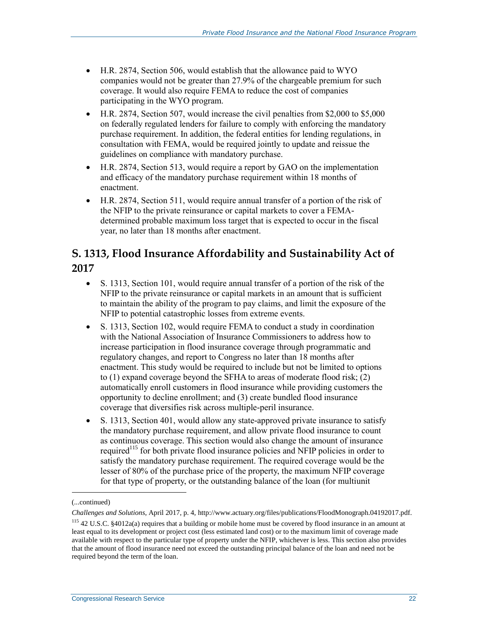- [H.R. 2874,](http://www.congress.gov/cgi-lis/bdquery/z?d115:H.R.2874:) Section 506, would establish that the allowance paid to WYO companies would not be greater than 27.9% of the chargeable premium for such coverage. It would also require FEMA to reduce the cost of companies participating in the WYO program.
- H.R. 2874, Section 507, would increase the civil penalties from \$2,000 to \$5,000 on federally regulated lenders for failure to comply with enforcing the mandatory purchase requirement. In addition, the federal entities for lending regulations, in consultation with FEMA, would be required jointly to update and reissue the guidelines on compliance with mandatory purchase.
- [H.R. 2874,](http://www.congress.gov/cgi-lis/bdquery/z?d115:H.R.2874:) Section 513, would require a report by GAO on the implementation and efficacy of the mandatory purchase requirement within 18 months of enactment.
- H.R. 2874, Section 511, would require annual transfer of a portion of the risk of the NFIP to the private reinsurance or capital markets to cover a FEMAdetermined probable maximum loss target that is expected to occur in the fiscal year, no later than 18 months after enactment.

#### **[S. 1313,](http://www.congress.gov/cgi-lis/bdquery/z?d115:S.1313:) Flood Insurance Affordability and Sustainability Act of 2017**

- S. 1313, Section 101, would require annual transfer of a portion of the risk of the NFIP to the private reinsurance or capital markets in an amount that is sufficient to maintain the ability of the program to pay claims, and limit the exposure of the NFIP to potential catastrophic losses from extreme events.
- [S. 1313,](http://www.congress.gov/cgi-lis/bdquery/z?d115:S.1313:) Section 102, would require FEMA to conduct a study in coordination with the National Association of Insurance Commissioners to address how to increase participation in flood insurance coverage through programmatic and regulatory changes, and report to Congress no later than 18 months after enactment. This study would be required to include but not be limited to options to (1) expand coverage beyond the SFHA to areas of moderate flood risk; (2) automatically enroll customers in flood insurance while providing customers the opportunity to decline enrollment; and (3) create bundled flood insurance coverage that diversifies risk across multiple-peril insurance.
- S. 1313, Section 401, would allow any state-approved private insurance to satisfy the mandatory purchase requirement, and allow private flood insurance to count as continuous coverage. This section would also change the amount of insurance required<sup>115</sup> for both private flood insurance policies and NFIP policies in order to satisfy the mandatory purchase requirement. The required coverage would be the lesser of 80% of the purchase price of the property, the maximum NFIP coverage for that type of property, or the outstanding balance of the loan (for multiunit

<sup>(...</sup>continued)

*Challenges and Solutions*, April 2017, p. 4, http://www.actuary.org/files/publications/FloodMonograph.04192017.pdf. <sup>115</sup> 42 U.S.C. §4012a(a) requires that a building or mobile home must be covered by flood insurance in an amount at least equal to its development or project cost (less estimated land cost) or to the maximum limit of coverage made

available with respect to the particular type of property under the NFIP, whichever is less. This section also provides that the amount of flood insurance need not exceed the outstanding principal balance of the loan and need not be required beyond the term of the loan.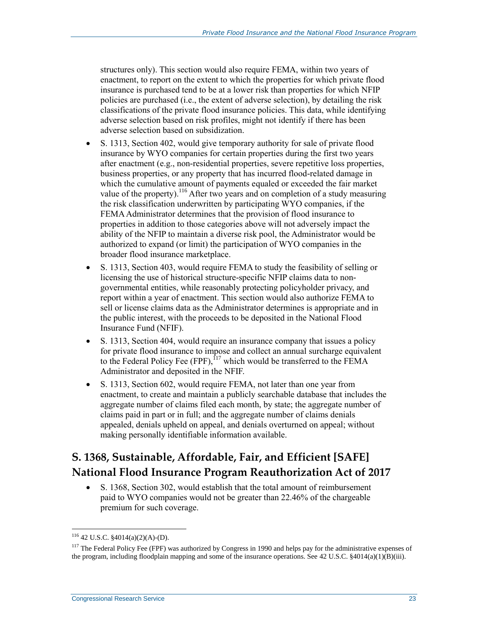structures only). This section would also require FEMA, within two years of enactment, to report on the extent to which the properties for which private flood insurance is purchased tend to be at a lower risk than properties for which NFIP policies are purchased (i.e., the extent of adverse selection), by detailing the risk classifications of the private flood insurance policies. This data, while identifying adverse selection based on risk profiles, might not identify if there has been adverse selection based on subsidization.

- [S. 1313,](http://www.congress.gov/cgi-lis/bdquery/z?d115:S.1313:) Section 402, would give temporary authority for sale of private flood insurance by WYO companies for certain properties during the first two years after enactment (e.g., non-residential properties, severe repetitive loss properties, business properties, or any property that has incurred flood-related damage in which the cumulative amount of payments equaled or exceeded the fair market value of the property).<sup>116</sup> After two years and on completion of a study measuring the risk classification underwritten by participating WYO companies, if the FEMA Administrator determines that the provision of flood insurance to properties in addition to those categories above will not adversely impact the ability of the NFIP to maintain a diverse risk pool, the Administrator would be authorized to expand (or limit) the participation of WYO companies in the broader flood insurance marketplace.
- S. 1313, Section 403, would require FEMA to study the feasibility of selling or licensing the use of historical structure-specific NFIP claims data to nongovernmental entities, while reasonably protecting policyholder privacy, and report within a year of enactment. This section would also authorize FEMA to sell or license claims data as the Administrator determines is appropriate and in the public interest, with the proceeds to be deposited in the National Flood Insurance Fund (NFIF).
- [S. 1313,](http://www.congress.gov/cgi-lis/bdquery/z?d115:S.1313:) Section 404, would require an insurance company that issues a policy for private flood insurance to impose and collect an annual surcharge equivalent to the Federal Policy Fee (FPF),  $17$  which would be transferred to the FEMA Administrator and deposited in the NFIF.
- S. 1313, Section 602, would require FEMA, not later than one year from enactment, to create and maintain a publicly searchable database that includes the aggregate number of claims filed each month, by state; the aggregate number of claims paid in part or in full; and the aggregate number of claims denials appealed, denials upheld on appeal, and denials overturned on appeal; without making personally identifiable information available.

### **[S. 1368,](http://www.congress.gov/cgi-lis/bdquery/z?d115:S.1368:) Sustainable, Affordable, Fair, and Efficient [SAFE] National Flood Insurance Program Reauthorization Act of 2017**

 S. 1368, Section 302, would establish that the total amount of reimbursement paid to WYO companies would not be greater than 22.46% of the chargeable premium for such coverage.

<sup>116</sup> 42 U.S.C. §4014(a)(2)(A)-(D).

<sup>&</sup>lt;sup>117</sup> The Federal Policy Fee (FPF) was authorized by Congress in 1990 and helps pay for the administrative expenses of the program, including floodplain mapping and some of the insurance operations. See 42 U.S.C. §4014(a)(1)(B)(iii).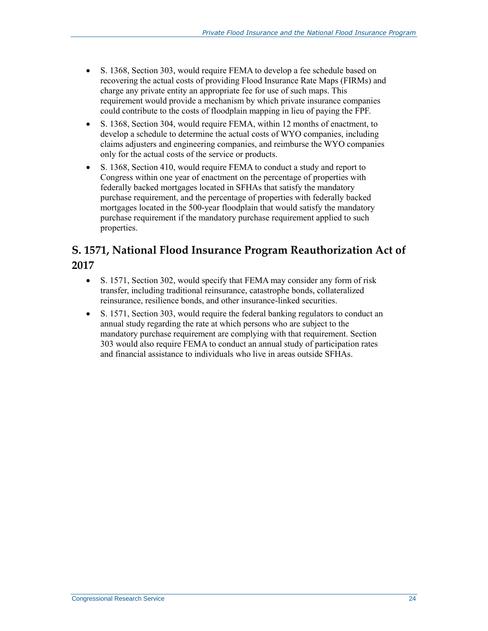- [S. 1368,](http://www.congress.gov/cgi-lis/bdquery/z?d115:S.1368:) Section 303, would require FEMA to develop a fee schedule based on recovering the actual costs of providing Flood Insurance Rate Maps (FIRMs) and charge any private entity an appropriate fee for use of such maps. This requirement would provide a mechanism by which private insurance companies could contribute to the costs of floodplain mapping in lieu of paying the FPF.
- S. 1368, Section 304, would require FEMA, within 12 months of enactment, to develop a schedule to determine the actual costs of WYO companies, including claims adjusters and engineering companies, and reimburse the WYO companies only for the actual costs of the service or products.
- [S. 1368,](http://www.congress.gov/cgi-lis/bdquery/z?d115:S.1368:) Section 410, would require FEMA to conduct a study and report to Congress within one year of enactment on the percentage of properties with federally backed mortgages located in SFHAs that satisfy the mandatory purchase requirement, and the percentage of properties with federally backed mortgages located in the 500-year floodplain that would satisfy the mandatory purchase requirement if the mandatory purchase requirement applied to such properties.

#### **S. 1571, National Flood Insurance Program Reauthorization Act of 2017**

- [S. 1571,](http://www.congress.gov/cgi-lis/bdquery/z?d115:S.1571:) Section 302, would specify that FEMA may consider any form of risk transfer, including traditional reinsurance, catastrophe bonds, collateralized reinsurance, resilience bonds, and other insurance-linked securities.
- S. 1571, Section 303, would require the federal banking regulators to conduct an annual study regarding the rate at which persons who are subject to the mandatory purchase requirement are complying with that requirement. Section 303 would also require FEMA to conduct an annual study of participation rates and financial assistance to individuals who live in areas outside SFHAs.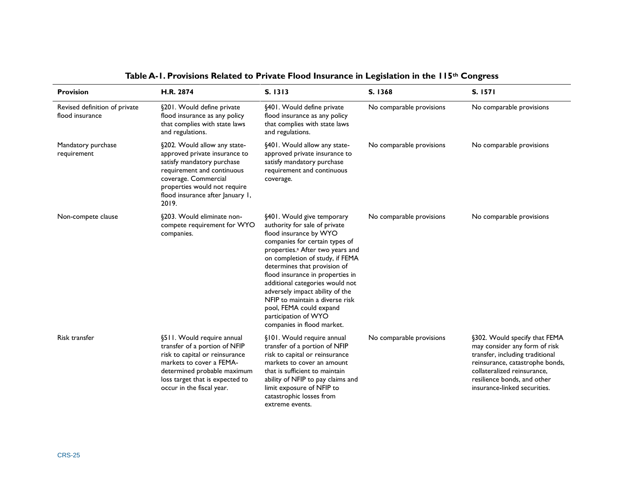<span id="page-27-0"></span>

| <b>Provision</b>                                 | H.R. 2874                                                                                                                                                                                                                      | S. 1313                                                                                                                                                                                                                                                                                                                                                                                                                                                                  | S. 1368                  | S. 1571                                                                                                                                                                                                                            |
|--------------------------------------------------|--------------------------------------------------------------------------------------------------------------------------------------------------------------------------------------------------------------------------------|--------------------------------------------------------------------------------------------------------------------------------------------------------------------------------------------------------------------------------------------------------------------------------------------------------------------------------------------------------------------------------------------------------------------------------------------------------------------------|--------------------------|------------------------------------------------------------------------------------------------------------------------------------------------------------------------------------------------------------------------------------|
| Revised definition of private<br>flood insurance | §201. Would define private<br>flood insurance as any policy<br>that complies with state laws<br>and regulations.                                                                                                               | §401. Would define private<br>flood insurance as any policy<br>that complies with state laws<br>and regulations.                                                                                                                                                                                                                                                                                                                                                         | No comparable provisions | No comparable provisions                                                                                                                                                                                                           |
| Mandatory purchase<br>requirement                | §202. Would allow any state-<br>approved private insurance to<br>satisfy mandatory purchase<br>requirement and continuous<br>coverage. Commercial<br>properties would not require<br>flood insurance after January 1,<br>2019. | §401. Would allow any state-<br>approved private insurance to<br>satisfy mandatory purchase<br>requirement and continuous<br>coverage.                                                                                                                                                                                                                                                                                                                                   | No comparable provisions | No comparable provisions                                                                                                                                                                                                           |
| Non-compete clause                               | §203. Would eliminate non-<br>compete requirement for WYO<br>companies.                                                                                                                                                        | §401. Would give temporary<br>authority for sale of private<br>flood insurance by WYO<br>companies for certain types of<br>properties. <sup>a</sup> After two years and<br>on completion of study, if FEMA<br>determines that provision of<br>flood insurance in properties in<br>additional categories would not<br>adversely impact ability of the<br>NFIP to maintain a diverse risk<br>pool, FEMA could expand<br>participation of WYO<br>companies in flood market. | No comparable provisions | No comparable provisions                                                                                                                                                                                                           |
| <b>Risk transfer</b>                             | §511. Would require annual<br>transfer of a portion of NFIP<br>risk to capital or reinsurance<br>markets to cover a FEMA-<br>determined probable maximum<br>loss target that is expected to<br>occur in the fiscal year.       | §101. Would require annual<br>transfer of a portion of NFIP<br>risk to capital or reinsurance<br>markets to cover an amount<br>that is sufficient to maintain<br>ability of NFIP to pay claims and<br>limit exposure of NFIP to<br>catastrophic losses from<br>extreme events.                                                                                                                                                                                           | No comparable provisions | §302. Would specify that FEMA<br>may consider any form of risk<br>transfer, including traditional<br>reinsurance, catastrophe bonds,<br>collateralized reinsurance,<br>resilience bonds, and other<br>insurance-linked securities. |

#### **Table A-1. Provisions Related to Private Flood Insurance in Legislation in the 115th Congress**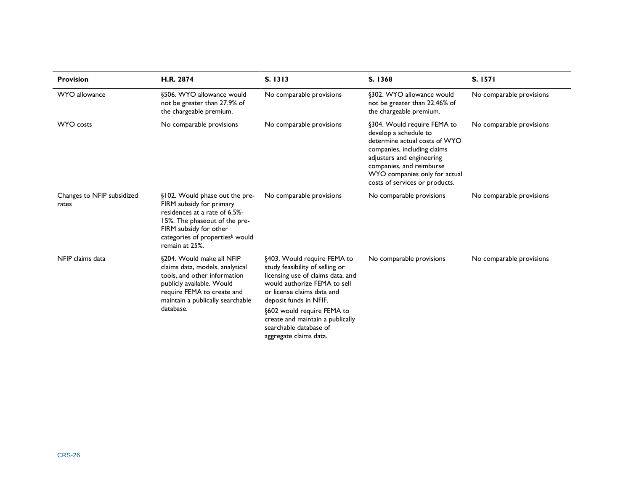| <b>Provision</b>                    | H.R. 2874                                                                                                                                                                                                               | S. 1313                                                                                                                                                                                     | S. 1368                                                                                                                                                                                                                                          | S. 1571                  |
|-------------------------------------|-------------------------------------------------------------------------------------------------------------------------------------------------------------------------------------------------------------------------|---------------------------------------------------------------------------------------------------------------------------------------------------------------------------------------------|--------------------------------------------------------------------------------------------------------------------------------------------------------------------------------------------------------------------------------------------------|--------------------------|
| WYO allowance                       | §506. WYO allowance would<br>not be greater than 27.9% of<br>the chargeable premium.                                                                                                                                    | No comparable provisions                                                                                                                                                                    | §302. WYO allowance would<br>not be greater than 22.46% of<br>the chargeable premium.                                                                                                                                                            | No comparable provisions |
| <b>WYO</b> costs                    | No comparable provisions                                                                                                                                                                                                | No comparable provisions                                                                                                                                                                    | §304. Would require FEMA to<br>develop a schedule to<br>determine actual costs of WYO<br>companies, including claims<br>adjusters and engineering<br>companies, and reimburse<br>WYO companies only for actual<br>costs of services or products. | No comparable provisions |
| Changes to NFIP subsidized<br>rates | §102. Would phase out the pre-<br>FIRM subsidy for primary<br>residences at a rate of 6.5%-<br>15%. The phaseout of the pre-<br>FIRM subsidy for other<br>categories of properties <sup>b</sup> would<br>remain at 25%. | No comparable provisions                                                                                                                                                                    | No comparable provisions                                                                                                                                                                                                                         | No comparable provisions |
| NFIP claims data                    | §204. Would make all NFIP<br>claims data, models, analytical<br>tools, and other information<br>publicly available. Would<br>require FEMA to create and<br>maintain a publically searchable                             | §403. Would require FEMA to<br>study feasibility of selling or<br>licensing use of claims data, and<br>would authorize FEMA to sell<br>or license claims data and<br>deposit funds in NFIF. | No comparable provisions                                                                                                                                                                                                                         | No comparable provisions |
|                                     | database.                                                                                                                                                                                                               | §602 would require FEMA to<br>create and maintain a publically<br>searchable database of<br>aggregate claims data.                                                                          |                                                                                                                                                                                                                                                  |                          |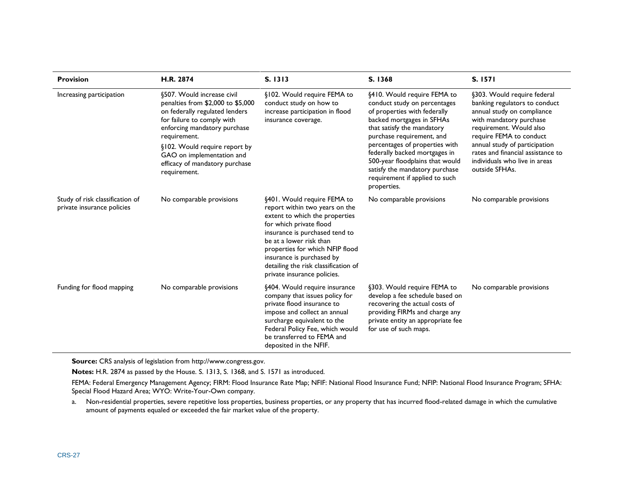| <b>Provision</b>                                              | H.R. 2874                                                                                                                                                                                                                                                                                       | S. 1313                                                                                                                                                                                                                                                                                                                        | S. 1368                                                                                                                                                                                                                                                                                                                                                                      | S. 1571                                                                                                                                                                                                                                                                                              |
|---------------------------------------------------------------|-------------------------------------------------------------------------------------------------------------------------------------------------------------------------------------------------------------------------------------------------------------------------------------------------|--------------------------------------------------------------------------------------------------------------------------------------------------------------------------------------------------------------------------------------------------------------------------------------------------------------------------------|------------------------------------------------------------------------------------------------------------------------------------------------------------------------------------------------------------------------------------------------------------------------------------------------------------------------------------------------------------------------------|------------------------------------------------------------------------------------------------------------------------------------------------------------------------------------------------------------------------------------------------------------------------------------------------------|
| Increasing participation                                      | §507. Would increase civil<br>penalties from \$2,000 to \$5,000<br>on federally regulated lenders<br>for failure to comply with<br>enforcing mandatory purchase<br>requirement.<br>§102. Would require report by<br>GAO on implementation and<br>efficacy of mandatory purchase<br>requirement. | §102. Would require FEMA to<br>conduct study on how to<br>increase participation in flood<br>insurance coverage.                                                                                                                                                                                                               | §410. Would require FEMA to<br>conduct study on percentages<br>of properties with federally<br>backed mortgages in SFHAs<br>that satisfy the mandatory<br>purchase requirement, and<br>percentages of properties with<br>federally backed mortgages in<br>500-year floodplains that would<br>satisfy the mandatory purchase<br>requirement if applied to such<br>properties. | §303. Would require federal<br>banking regulators to conduct<br>annual study on compliance<br>with mandatory purchase<br>requirement. Would also<br>require FEMA to conduct<br>annual study of participation<br>rates and financial assistance to<br>individuals who live in areas<br>outside SFHAs. |
| Study of risk classification of<br>private insurance policies | No comparable provisions                                                                                                                                                                                                                                                                        | §401. Would require FEMA to<br>report within two years on the<br>extent to which the properties<br>for which private flood<br>insurance is purchased tend to<br>be at a lower risk than<br>properties for which NFIP flood<br>insurance is purchased by<br>detailing the risk classification of<br>private insurance policies. | No comparable provisions                                                                                                                                                                                                                                                                                                                                                     | No comparable provisions                                                                                                                                                                                                                                                                             |
| Funding for flood mapping                                     | No comparable provisions                                                                                                                                                                                                                                                                        | §404. Would require insurance<br>company that issues policy for<br>private flood insurance to<br>impose and collect an annual<br>surcharge equivalent to the<br>Federal Policy Fee, which would<br>be transferred to FEMA and<br>deposited in the NFIF.                                                                        | §303. Would require FEMA to<br>develop a fee schedule based on<br>recovering the actual costs of<br>providing FIRMs and charge any<br>private entity an appropriate fee<br>for use of such maps.                                                                                                                                                                             | No comparable provisions                                                                                                                                                                                                                                                                             |

**Source:** CRS analysis of legislation fro[m http://www.congress.gov.](http://www.congress.gov/)

**Notes:** H.R. 2874 as passed by the House. [S. 1313,](http://www.congress.gov/cgi-lis/bdquery/z?d115:S.1313:) S. 1368, and [S. 1571](http://www.congress.gov/cgi-lis/bdquery/z?d115:S.1571:) as introduced.

FEMA: Federal Emergency Management Agency; FIRM: Flood Insurance Rate Map; NFIF: National Flood Insurance Fund; NFIP: National Flood Insurance Program; SFHA: Special Flood Hazard Area; WYO: Write-Your-Own company.

<span id="page-29-0"></span>a. Non-residential properties, severe repetitive loss properties, business properties, or any property that has incurred flood-related damage in which the cumulative amount of payments equaled or exceeded the fair market value of the property.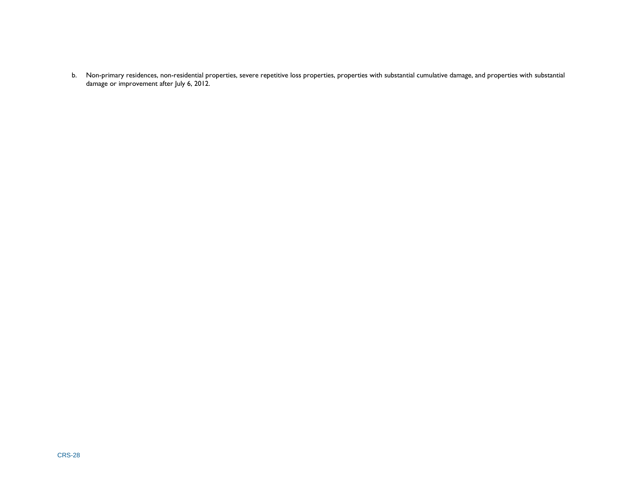<span id="page-30-0"></span>b. Non-primary residences, non-residential properties, severe repetitive loss properties, properties with substantial cumulative damage, and properties with substantial damage or improvement after July 6, 2012.